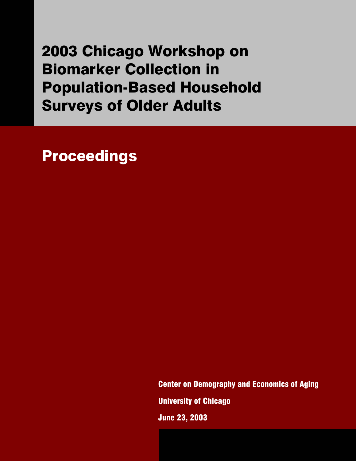2003 Chicago Workshop on Biomarker Collection in Population-Based Household Surveys of Older Adults

Proceedings

Center on Demography and Economics of Aging University of Chicago June 23, 2003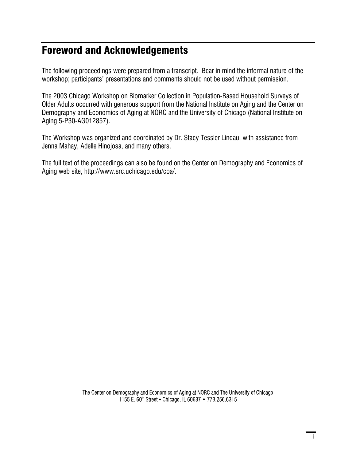## Foreword and Acknowledgements

The following proceedings were prepared from a transcript. Bear in mind the informal nature of the workshop; participants' presentations and comments should not be used without permission.

The 2003 Chicago Workshop on Biomarker Collection in Population-Based Household Surveys of Older Adults occurred with generous support from the National Institute on Aging and the Center on Demography and Economics of Aging at NORC and the University of Chicago (National Institute on Aging 5-P30-AG012857).

The Workshop was organized and coordinated by Dr. Stacy Tessler Lindau, with assistance from Jenna Mahay, Adelle Hinojosa, and many others.

The full text of the proceedings can also be found on the Center on Demography and Economics of Aging web site, http://www.src.uchicago.edu/coa/.

> The Center on Demography and Economics of Aging at NORC and The University of Chicago 1155 E. 60th Street **•** Chicago, IL 60637 • 773.256.6315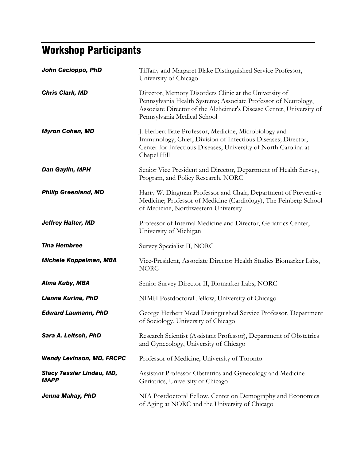# Workshop Participants

| John Cacioppo, PhD                              | Tiffany and Margaret Blake Distinguished Service Professor,<br>University of Chicago                                                                                                                                           |
|-------------------------------------------------|--------------------------------------------------------------------------------------------------------------------------------------------------------------------------------------------------------------------------------|
| <b>Chris Clark, MD</b>                          | Director, Memory Disorders Clinic at the University of<br>Pennsylvania Health Systems; Associate Professor of Neurology,<br>Associate Director of the Alzheimer's Disease Center, University of<br>Pennsylvania Medical School |
| <b>Myron Cohen, MD</b>                          | J. Herbert Bate Professor, Medicine, Microbiology and<br>Immunology; Chief, Division of Infectious Diseases; Director,<br>Center for Infectious Diseases, University of North Carolina at<br>Chapel Hill                       |
| <b>Dan Gaylin, MPH</b>                          | Senior Vice President and Director, Department of Health Survey,<br>Program, and Policy Research, NORC                                                                                                                         |
| <b>Philip Greenland, MD</b>                     | Harry W. Dingman Professor and Chair, Department of Preventive<br>Medicine; Professor of Medicine (Cardiology), The Feinberg School<br>of Medicine, Northwestern University                                                    |
| <b>Jeffrey Halter, MD</b>                       | Professor of Internal Medicine and Director, Geriatrics Center,<br>University of Michigan                                                                                                                                      |
| <b>Tina Hembree</b>                             | Survey Specialist II, NORC                                                                                                                                                                                                     |
| <b>Michele Koppelman, MBA</b>                   | Vice-President, Associate Director Health Studies Biomarker Labs,                                                                                                                                                              |
|                                                 | <b>NORC</b>                                                                                                                                                                                                                    |
| Alma Kuby, MBA                                  | Senior Survey Director II, Biomarker Labs, NORC                                                                                                                                                                                |
| <b>Lianne Kurina, PhD</b>                       | NIMH Postdoctoral Fellow, University of Chicago                                                                                                                                                                                |
| <b>Edward Laumann, PhD</b>                      | George Herbert Mead Distinguished Service Professor, Department<br>of Sociology, University of Chicago                                                                                                                         |
| Sara A. Leitsch, PhD                            | Research Scientist (Assistant Professor), Department of Obstetrics<br>and Gynecology, University of Chicago                                                                                                                    |
| <b>Wendy Levinson, MD, FRCPC</b>                | Professor of Medicine, University of Toronto                                                                                                                                                                                   |
| <b>Stacy Tessler Lindau, MD,</b><br><b>MAPP</b> | Assistant Professor Obstetrics and Gynecology and Medicine -<br>Geriatrics, University of Chicago                                                                                                                              |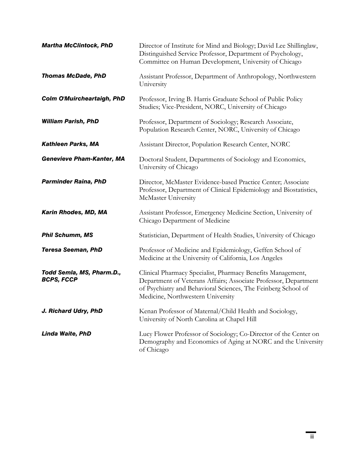| <b>Martha McClintock, PhD</b>                  | Director of Institute for Mind and Biology; David Lee Shillinglaw,<br>Distinguished Service Professor, Department of Psychology,<br>Committee on Human Development, University of Chicago                                            |
|------------------------------------------------|--------------------------------------------------------------------------------------------------------------------------------------------------------------------------------------------------------------------------------------|
| <b>Thomas McDade, PhD</b>                      | Assistant Professor, Department of Anthropology, Northwestern<br>University                                                                                                                                                          |
| <b>Colm O'Muircheartaigh, PhD</b>              | Professor, Irving B. Harris Graduate School of Public Policy<br>Studies; Vice-President, NORC, University of Chicago                                                                                                                 |
| <b>William Parish, PhD</b>                     | Professor, Department of Sociology; Research Associate,<br>Population Research Center, NORC, University of Chicago                                                                                                                   |
| Kathleen Parks, MA                             | Assistant Director, Population Research Center, NORC                                                                                                                                                                                 |
| <b>Genevieve Pham-Kanter, MA</b>               | Doctoral Student, Departments of Sociology and Economics,<br>University of Chicago                                                                                                                                                   |
| <b>Parminder Raina, PhD</b>                    | Director, McMaster Evidence-based Practice Center; Associate<br>Professor, Department of Clinical Epidemiology and Biostatistics,<br>McMaster University                                                                             |
| Karin Rhodes, MD, MA                           | Assistant Professor, Emergency Medicine Section, University of<br>Chicago Department of Medicine                                                                                                                                     |
| <b>Phil Schumm, MS</b>                         | Statistician, Department of Health Studies, University of Chicago                                                                                                                                                                    |
| <b>Teresa Seeman, PhD</b>                      | Professor of Medicine and Epidemiology, Geffen School of<br>Medicine at the University of California, Los Angeles                                                                                                                    |
| Todd Semla, MS, Pharm.D.,<br><b>BCPS, FCCP</b> | Clinical Pharmacy Specialist, Pharmacy Benefits Management,<br>Department of Veterans Affairs; Associate Professor, Department<br>of Psychiatry and Behavioral Sciences, The Feinberg School of<br>Medicine, Northwestern University |
| J. Richard Udry, PhD                           | Kenan Professor of Maternal/Child Health and Sociology,<br>University of North Carolina at Chapel Hill                                                                                                                               |
| <b>Linda Waite, PhD</b>                        | Lucy Flower Professor of Sociology; Co-Director of the Center on<br>Demography and Economics of Aging at NORC and the University<br>of Chicago                                                                                       |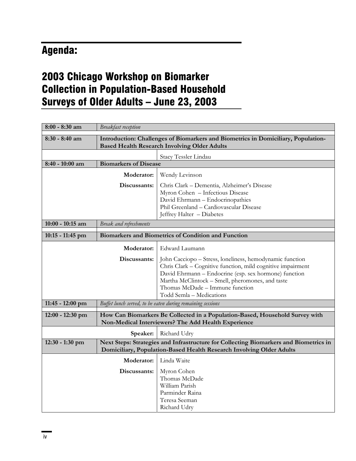## Agenda:

## 2003 Chicago Workshop on Biomarker Collection in Population-Based Household Surveys of Older Adults – June 23, 2003

| 8:00 - 8:30 am     | Breakfast reception          |                                                                                                                                                                                                                                                                                                     |
|--------------------|------------------------------|-----------------------------------------------------------------------------------------------------------------------------------------------------------------------------------------------------------------------------------------------------------------------------------------------------|
| $8:30 - 8:40$ am   |                              | Introduction: Challenges of Biomarkers and Biometrics in Domiciliary, Population-<br><b>Based Health Research Involving Older Adults</b>                                                                                                                                                            |
|                    |                              | Stacy Tessler Lindau                                                                                                                                                                                                                                                                                |
| 8:40 - 10:00 am    | <b>Biomarkers of Disease</b> |                                                                                                                                                                                                                                                                                                     |
|                    | Moderator:                   | Wendy Levinson                                                                                                                                                                                                                                                                                      |
|                    | Discussants:                 | Chris Clark - Dementia, Alzheimer's Disease<br>Myron Cohen - Infectious Disease<br>David Ehrmann - Endocrinopathies<br>Phil Greenland - Cardiovascular Disease<br>Jeffrey Halter - Diabetes                                                                                                         |
| 10:00 - 10:15 am   | Break and refreshments       |                                                                                                                                                                                                                                                                                                     |
| $10:15 - 11:45$ pm |                              | Biomarkers and Biometrics of Condition and Function                                                                                                                                                                                                                                                 |
|                    | Moderator:                   | Edward Laumann                                                                                                                                                                                                                                                                                      |
|                    | Discussants:                 | John Cacciopo - Stress, loneliness, hemodynamic function<br>Chris Clark - Cognitive function, mild cognitive impairment<br>David Ehrmann - Endocrine (esp. sex hormone) function<br>Martha McClintock - Smell, pheromones, and taste<br>Thomas McDade - Immune function<br>Todd Semla - Medications |
| $11:45 - 12:00$ pm |                              | Buffet lunch served, to be eaten during remaining sessions                                                                                                                                                                                                                                          |
| 12:00 - 12:30 pm   |                              | How Can Biomarkers Be Collected in a Population-Based, Household Survey with<br>Non-Medical Interviewers? The Add Health Experience                                                                                                                                                                 |
|                    | Speaker:                     | Richard Udry                                                                                                                                                                                                                                                                                        |
| $12:30 - 1:30$ pm  |                              | Next Steps: Strategies and Infrastructure for Collecting Biomarkers and Biometrics in<br>Domiciliary, Population-Based Health Research Involving Older Adults                                                                                                                                       |
|                    | Moderator:                   | Linda Waite                                                                                                                                                                                                                                                                                         |
|                    | Discussants:                 | Myron Cohen<br>Thomas McDade<br>William Parish<br>Parminder Raina<br>Teresa Seeman<br>Richard Udry                                                                                                                                                                                                  |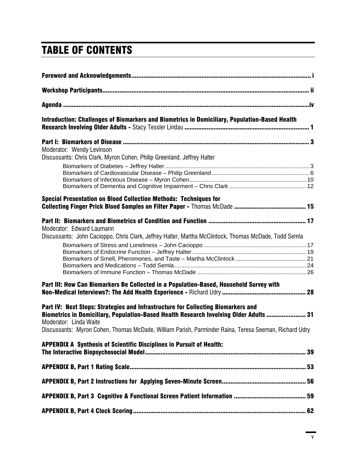## TABLE OF CONTENTS

| Introduction: Challenges of Biomarkers and Biometrics in Domiciliary, Population-Based Health                                                                                                                                                                                                                 |  |
|---------------------------------------------------------------------------------------------------------------------------------------------------------------------------------------------------------------------------------------------------------------------------------------------------------------|--|
| Moderator: Wendy Levinson<br>Discussants: Chris Clark, Myron Cohen, Philip Greenland, Jeffrey Halter                                                                                                                                                                                                          |  |
|                                                                                                                                                                                                                                                                                                               |  |
| <b>Special Presentation on Blood Collection Methods: Techniques for</b>                                                                                                                                                                                                                                       |  |
| Moderator: Edward Laumann<br>Discussants: John Cacioppo, Chris Clark, Jeffrey Halter, Martha McClintock, Thomas McDade, Todd Semla                                                                                                                                                                            |  |
| Part III: How Can Biomarkers Be Collected in a Population-Based, Household Survey with                                                                                                                                                                                                                        |  |
| Part IV: Next Steps: Strategies and Infrastructure for Collecting Biomarkers and<br>Biometrics in Domiciliary, Population-Based Health Research Involving Older Adults  31<br>Moderator: Linda Waite<br>Discussants: Myron Cohen, Thomas McDade, William Parish, Parminder Raina, Teresa Seeman, Richard Udry |  |
| APPENDIX A Synthesis of Scientific Disciplines in Pursuit of Health:                                                                                                                                                                                                                                          |  |
|                                                                                                                                                                                                                                                                                                               |  |
|                                                                                                                                                                                                                                                                                                               |  |
|                                                                                                                                                                                                                                                                                                               |  |
|                                                                                                                                                                                                                                                                                                               |  |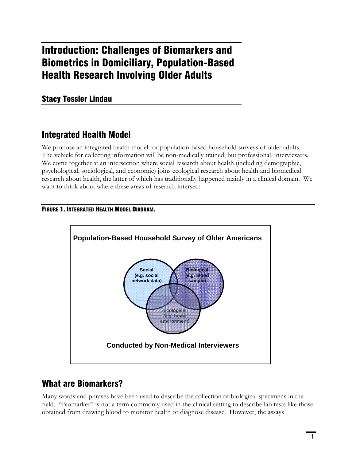## Introduction: Challenges of Biomarkers and Biometrics in Domiciliary, Population-Based Health Research Involving Older Adults

### Stacy Tessler Lindau

### Integrated Health Model

We propose an integrated health model for population-based household surveys of older adults. The vehicle for collecting information will be non-medically trained, but professional, interviewers. We come together at an intersection where social research about health (including demographic, psychological, sociological, and economic) joins ecological research about health and biomedical research about health, the latter of which has traditionally happened mainly in a clinical domain. We want to think about where these areas of research intersect.

## **Ecological (e.g. home environment) Biological (e.g. blood sample) Social (e.g. social network data) Population-Based Household Survey of Older Americans Conducted by Non-Medical Interviewers**

#### FIGURE 1. INTEGRATED HEALTH MODEL DIAGRAM.

### What are Biomarkers?

Many words and phrases have been used to describe the collection of biological specimens in the field. "Biomarker" is not a term commonly used in the clinical setting to describe lab tests like those obtained from drawing blood to monitor health or diagnose disease. However, the assays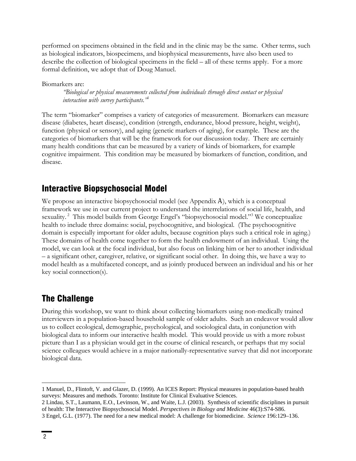performed on specimens obtained in the field and in the clinic may be the same. Other terms, such as biological indicators, biospecimens, and biophysical measurements, have also been used to describe the collection of biological specimens in the field – all of these terms apply. For a more formal definition, we adopt that of Doug Manuel.

Biomarkers are:

*"Biological or physical measurements collected from individuals through direct contact or physical interaction with survey participants."*<sup>1</sup>

The term "biomarker" comprises a variety of categories of measurement. Biomarkers can measure disease (diabetes, heart disease), condition (strength, endurance, blood pressure, height, weight), function (physical or sensory), and aging (genetic markers of aging), for example. These are the categories of biomarkers that will be the framework for our discussion today. There are certainly many health conditions that can be measured by a variety of kinds of biomarkers, for example cognitive impairment. This condition may be measured by biomarkers of function, condition, and disease.

### Interactive Biopsychosocial Model

We propose an interactive biopsychosocial model (see Appendix A), which is a conceptual framework we use in our current project to understand the interrelations of social life, health, and sexuality.<sup>2</sup> This model builds from George Engel's "biopsychosocial model."<sup>3</sup> We conceptualize health to include three domains: social, psychocognitive, and biological. (The psychocognitive domain is especially important for older adults, because cognition plays such a critical role in aging.) These domains of health come together to form the health endowment of an individual. Using the model, we can look at the focal individual, but also focus on linking him or her to another individual – a significant other, caregiver, relative, or significant social other. In doing this, we have a way to model health as a multifaceted concept, and as jointly produced between an individual and his or her key social connection(s).

### The Challenge

During this workshop, we want to think about collecting biomarkers using non-medically trained interviewers in a population-based household sample of older adults. Such an endeavor would allow us to collect ecological, demographic, psychological, and sociological data, in conjunction with biological data to inform our interactive health model. This would provide us with a more robust picture than I as a physician would get in the course of clinical research, or perhaps that my social science colleagues would achieve in a major nationally-representative survey that did not incorporate biological data.

 $\overline{a}$ 

<sup>1</sup> Manuel, D., Flintoft, V. and Glazer, D. (1999). An ICES Report: Physical measures in population-based health surveys: Measures and methods. Toronto: Institute for Clinical Evaluative Sciences.

<sup>2</sup> Lindau, S.T., Laumann, E.O., Levinson, W., and Waite, L.J. (2003). Synthesis of scientific disciplines in pursuit of health: The Interactive Biopsychosocial Model. *Perspectives in Biology and Medicine* 46(3):S74-S86. 3 Engel, G.L. (1977). The need for a new medical model: A challenge for biomedicine. *Science* 196:129–136.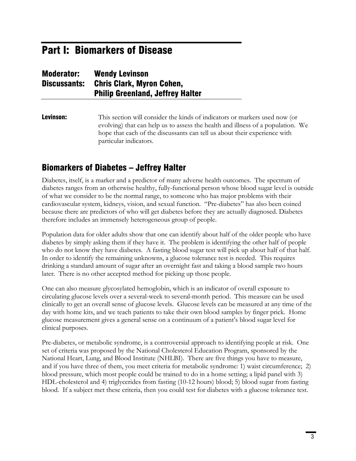## Part I: Biomarkers of Disease

### Moderator: Wendy Levinson Discussants: Chris Clark, Myron Cohen, Philip Greenland, Jeffrey Halter

Levinson: This section will consider the kinds of indicators or markers used now (or evolving) that can help us to assess the health and illness of a population. We hope that each of the discussants can tell us about their experience with particular indicators.

### Biomarkers of Diabetes – Jeffrey Halter

Diabetes, itself, is a marker and a predictor of many adverse health outcomes. The spectrum of diabetes ranges from an otherwise healthy, fully-functional person whose blood sugar level is outside of what we consider to be the normal range, to someone who has major problems with their cardiovascular system, kidneys, vision, and sexual function. "Pre-diabetes" has also been coined because there are predictors of who will get diabetes before they are actually diagnosed. Diabetes therefore includes an immensely heterogeneous group of people.

Population data for older adults show that one can identify about half of the older people who have diabetes by simply asking them if they have it. The problem is identifying the other half of people who do not know they have diabetes. A fasting blood sugar test will pick up about half of that half. In order to identify the remaining unknowns, a glucose tolerance test is needed. This requires drinking a standard amount of sugar after an overnight fast and taking a blood sample two hours later. There is no other accepted method for picking up those people.

One can also measure glycosylated hemoglobin, which is an indicator of overall exposure to circulating glucose levels over a several-week to several-month period. This measure can be used clinically to get an overall sense of glucose levels. Glucose levels can be measured at any time of the day with home kits, and we teach patients to take their own blood samples by finger prick. Home glucose measurement gives a general sense on a continuum of a patient's blood sugar level for clinical purposes.

Pre-diabetes, or metabolic syndrome, is a controversial approach to identifying people at risk. One set of criteria was proposed by the National Cholesterol Education Program, sponsored by the National Heart, Lung, and Blood Institute (NHLBI). There are five things you have to measure, and if you have three of them, you meet criteria for metabolic syndrome: 1) waist circumference; 2) blood pressure, which most people could be trained to do in a home setting; a lipid panel with 3) HDL-cholesterol and 4) triglycerides from fasting (10-12 hours) blood; 5) blood sugar from fasting blood. If a subject met these criteria, then you could test for diabetes with a glucose tolerance test.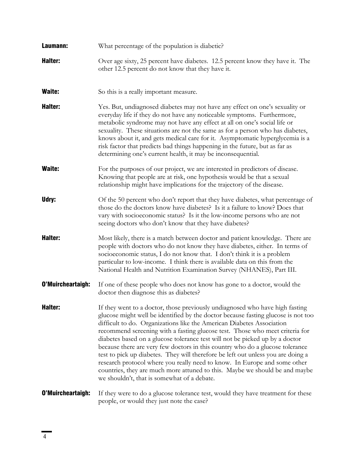| Laumann:          | What percentage of the population is diabetic?                                                                                                                                                                                                                                                                                                                                                                                                                                                                                                                                                                                                                                                                                                                                             |
|-------------------|--------------------------------------------------------------------------------------------------------------------------------------------------------------------------------------------------------------------------------------------------------------------------------------------------------------------------------------------------------------------------------------------------------------------------------------------------------------------------------------------------------------------------------------------------------------------------------------------------------------------------------------------------------------------------------------------------------------------------------------------------------------------------------------------|
| <b>Halter:</b>    | Over age sixty, 25 percent have diabetes. 12.5 percent know they have it. The<br>other 12.5 percent do not know that they have it.                                                                                                                                                                                                                                                                                                                                                                                                                                                                                                                                                                                                                                                         |
| <b>Waite:</b>     | So this is a really important measure.                                                                                                                                                                                                                                                                                                                                                                                                                                                                                                                                                                                                                                                                                                                                                     |
| Halter:           | Yes. But, undiagnosed diabetes may not have any effect on one's sexuality or<br>everyday life if they do not have any noticeable symptoms. Furthermore,<br>metabolic syndrome may not have any effect at all on one's social life or<br>sexuality. These situations are not the same as for a person who has diabetes,<br>knows about it, and gets medical care for it. Asymptomatic hyperglycemia is a<br>risk factor that predicts bad things happening in the future, but as far as<br>determining one's current health, it may be inconsequential.                                                                                                                                                                                                                                     |
| <b>Waite:</b>     | For the purposes of our project, we are interested in predictors of disease.<br>Knowing that people are at risk, one hypothesis would be that a sexual<br>relationship might have implications for the trajectory of the disease.                                                                                                                                                                                                                                                                                                                                                                                                                                                                                                                                                          |
| Udry:             | Of the 50 percent who don't report that they have diabetes, what percentage of<br>those do the doctors know have diabetes? Is it a failure to know? Does that<br>vary with socioeconomic status? Is it the low-income persons who are not<br>seeing doctors who don't know that they have diabetes?                                                                                                                                                                                                                                                                                                                                                                                                                                                                                        |
| Halter:           | Most likely, there is a match between doctor and patient knowledge. There are<br>people with doctors who do not know they have diabetes, either. In terms of<br>socioeconomic status, I do not know that. I don't think it is a problem<br>particular to low-income. I think there is available data on this from the<br>National Health and Nutrition Examination Survey (NHANES), Part III.                                                                                                                                                                                                                                                                                                                                                                                              |
| O'Muircheartaigh: | If one of these people who does not know has gone to a doctor, would the<br>doctor then diagnose this as diabetes?                                                                                                                                                                                                                                                                                                                                                                                                                                                                                                                                                                                                                                                                         |
| <b>Halter:</b>    | If they went to a doctor, those previously undiagnosed who have high fasting<br>glucose might well be identified by the doctor because fasting glucose is not too<br>difficult to do. Organizations like the American Diabetes Association<br>recommend screening with a fasting glucose test. Those who meet criteria for<br>diabetes based on a glucose tolerance test will not be picked up by a doctor<br>because there are very few doctors in this country who do a glucose tolerance<br>test to pick up diabetes. They will therefore be left out unless you are doing a<br>research protocol where you really need to know. In Europe and some other<br>countries, they are much more attuned to this. Maybe we should be and maybe<br>we shouldn't, that is somewhat of a debate. |
| O'Muircheartaigh: | If they were to do a glucose tolerance test, would they have treatment for these<br>people, or would they just note the case?                                                                                                                                                                                                                                                                                                                                                                                                                                                                                                                                                                                                                                                              |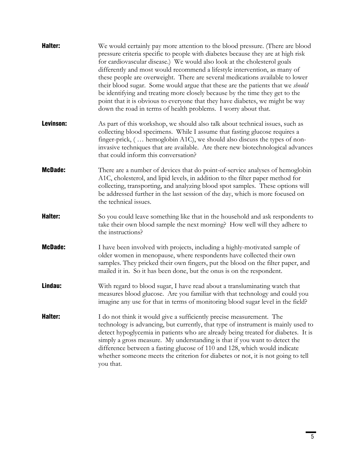| <b>Halter:</b> | We would certainly pay more attention to the blood pressure. (There are blood<br>pressure criteria specific to people with diabetes because they are at high risk<br>for cardiovascular disease.) We would also look at the cholesterol goals<br>differently and most would recommend a lifestyle intervention, as many of<br>these people are overweight. There are several medications available to lower<br>their blood sugar. Some would argue that these are the patients that we should<br>be identifying and treating more closely because by the time they get to the<br>point that it is obvious to everyone that they have diabetes, we might be way<br>down the road in terms of health problems. I worry about that. |
|----------------|----------------------------------------------------------------------------------------------------------------------------------------------------------------------------------------------------------------------------------------------------------------------------------------------------------------------------------------------------------------------------------------------------------------------------------------------------------------------------------------------------------------------------------------------------------------------------------------------------------------------------------------------------------------------------------------------------------------------------------|
| Levinson:      | As part of this workshop, we should also talk about technical issues, such as<br>collecting blood specimens. While I assume that fasting glucose requires a<br>finger-prick, ( hemoglobin A1C), we should also discuss the types of non-<br>invasive techniques that are available. Are there new biotechnological advances<br>that could inform this conversation?                                                                                                                                                                                                                                                                                                                                                              |
| <b>McDade:</b> | There are a number of devices that do point-of-service analyses of hemoglobin<br>A1C, cholesterol, and lipid levels, in addition to the filter paper method for<br>collecting, transporting, and analyzing blood spot samples. These options will<br>be addressed further in the last session of the day, which is more focused on<br>the technical issues.                                                                                                                                                                                                                                                                                                                                                                      |
| Halter:        | So you could leave something like that in the household and ask respondents to<br>take their own blood sample the next morning? How well will they adhere to<br>the instructions?                                                                                                                                                                                                                                                                                                                                                                                                                                                                                                                                                |
| <b>McDade:</b> | I have been involved with projects, including a highly-motivated sample of<br>older women in menopause, where respondents have collected their own<br>samples. They pricked their own fingers, put the blood on the filter paper, and<br>mailed it in. So it has been done, but the onus is on the respondent.                                                                                                                                                                                                                                                                                                                                                                                                                   |
| Lindau:        | With regard to blood sugar, I have read about a transluminating watch that<br>measures blood glucose. Are you familiar with that technology and could you<br>imagine any use for that in terms of monitoring blood sugar level in the field?                                                                                                                                                                                                                                                                                                                                                                                                                                                                                     |
| Halter:        | I do not think it would give a sufficiently precise measurement. The<br>technology is advancing, but currently, that type of instrument is mainly used to<br>detect hypoglycemia in patients who are already being treated for diabetes. It is<br>simply a gross measure. My understanding is that if you want to detect the<br>difference between a fasting glucose of 110 and 128, which would indicate<br>whether someone meets the criterion for diabetes or not, it is not going to tell<br>you that.                                                                                                                                                                                                                       |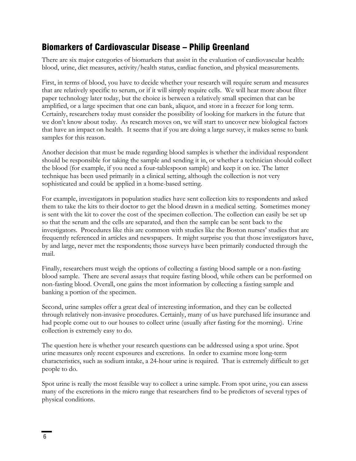### Biomarkers of Cardiovascular Disease – Philip Greenland

There are six major categories of biomarkers that assist in the evaluation of cardiovascular health: blood, urine, diet measures, activity/health status, cardiac function, and physical measurements.

First, in terms of blood, you have to decide whether your research will require serum and measures that are relatively specific to serum, or if it will simply require cells. We will hear more about filter paper technology later today, but the choice is between a relatively small specimen that can be amplified, or a large specimen that one can bank, aliquot, and store in a freezer for long term. Certainly, researchers today must consider the possibility of looking for markers in the future that we don't know about today. As research moves on, we will start to uncover new biological factors that have an impact on health. It seems that if you are doing a large survey, it makes sense to bank samples for this reason.

Another decision that must be made regarding blood samples is whether the individual respondent should be responsible for taking the sample and sending it in, or whether a technician should collect the blood (for example, if you need a four-tablespoon sample) and keep it on ice. The latter technique has been used primarily in a clinical setting, although the collection is not very sophisticated and could be applied in a home-based setting.

For example, investigators in population studies have sent collection kits to respondents and asked them to take the kits to their doctor to get the blood drawn in a medical setting. Sometimes money is sent with the kit to cover the cost of the specimen collection. The collection can easily be set up so that the serum and the cells are separated, and then the sample can be sent back to the investigators. Procedures like this are common with studies like the Boston nurses' studies that are frequently referenced in articles and newspapers. It might surprise you that those investigators have, by and large, never met the respondents; those surveys have been primarily conducted through the mail.

Finally, researchers must weigh the options of collecting a fasting blood sample or a non-fasting blood sample. There are several assays that require fasting blood, while others can be performed on non-fasting blood. Overall, one gains the most information by collecting a fasting sample and banking a portion of the specimen.

Second, urine samples offer a great deal of interesting information, and they can be collected through relatively non-invasive procedures. Certainly, many of us have purchased life insurance and had people come out to our houses to collect urine (usually after fasting for the morning). Urine collection is extremely easy to do.

The question here is whether your research questions can be addressed using a spot urine. Spot urine measures only recent exposures and excretions. In order to examine more long-term characteristics, such as sodium intake, a 24-hour urine is required. That is extremely difficult to get people to do.

Spot urine is really the most feasible way to collect a urine sample. From spot urine, you can assess many of the excretions in the micro range that researchers find to be predictors of several types of physical conditions.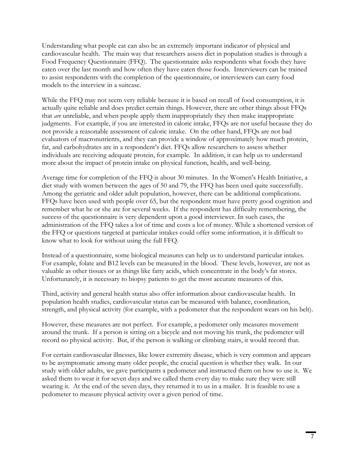Understanding what people eat can also be an extremely important indicator of physical and cardiovascular health. The main way that researchers assess diet in population studies is through a Food Frequency Questionnaire (FFQ). The questionnaire asks respondents what foods they have eaten over the last month and how often they have eaten those foods. Interviewers can be trained to assist respondents with the completion of the questionnaire, or interviewers can carry food models to the interview in a suitcase.

While the FFQ may not seem very reliable because it is based on recall of food consumption, it is actually quite reliable and does predict certain things. However, there are other things about FFQs that *are* unreliable, and when people apply them inappropriately they then make inappropriate judgments. For example, if you are interested in caloric intake, FFQs are not useful because they do not provide a reasonable assessment of caloric intake. On the other hand, FFQs are not bad evaluators of macronutrients, and they can provide a window of approximately how much protein, fat, and carbohydrates are in a respondent's diet. FFQs allow researchers to assess whether individuals are receiving adequate protein, for example. In addition, it can help us to understand more about the impact of protein intake on physical function, health, and well-being.

Average time for completion of the FFQ is about 30 minutes. In the Women's Health Initiative, a diet study with women between the ages of 50 and 79, the FFQ has been used quite successfully. Among the geriatric and older adult population, however, there can be additional complications. FFQs have been used with people over 65, but the respondent must have pretty good cognition and remember what he or she ate for several weeks. If the respondent has difficulty remembering, the success of the questionnaire is very dependent upon a good interviewer. In such cases, the administration of the FFQ takes a lot of time and costs a lot of money. While a shortened version of the FFQ or questions targeted at particular intakes could offer some information, it is difficult to know what to look for without using the full FFQ.

Instead of a questionnaire, some biological measures can help us to understand particular intakes. For example, folate and B12 levels can be measured in the blood. These levels, however, are not as valuable as other tissues or as things like fatty acids, which concentrate in the body's fat stores. Unfortunately, it is necessary to biopsy patients to get the most accurate measures of this.

Third, activity and general health status also offer information about cardiovascular health. In population health studies, cardiovascular status can be measured with balance, coordination, strength, and physical activity (for example, with a pedometer that the respondent wears on his belt).

However, these measures are not perfect. For example, a pedometer only measures movement around the trunk. If a person is sitting on a bicycle and not moving his trunk, the pedometer will record no physical activity. But, if the person is walking or climbing stairs, it would record that.

For certain cardiovascular illnesses, like lower extremity disease, which is very common and appears to be asymptomatic among many older people, the crucial question is whether they walk. In our study with older adults, we gave participants a pedometer and instructed them on how to use it. We asked them to wear it for seven days and we called them every day to make sure they were still wearing it. At the end of the seven days, they returned it to us in a mailer. It is feasible to use a pedometer to measure physical activity over a given period of time.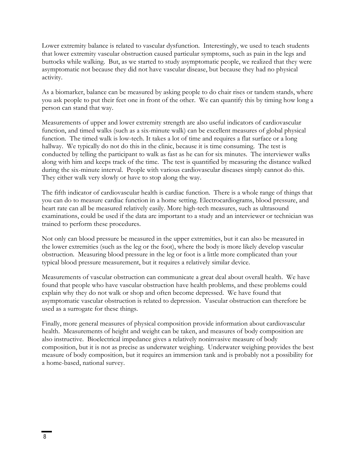Lower extremity balance is related to vascular dysfunction. Interestingly, we used to teach students that lower extremity vascular obstruction caused particular symptoms, such as pain in the legs and buttocks while walking. But, as we started to study asymptomatic people, we realized that they were asymptomatic not because they did not have vascular disease, but because they had no physical activity.

As a biomarker, balance can be measured by asking people to do chair rises or tandem stands, where you ask people to put their feet one in front of the other. We can quantify this by timing how long a person can stand that way.

Measurements of upper and lower extremity strength are also useful indicators of cardiovascular function, and timed walks (such as a six-minute walk) can be excellent measures of global physical function. The timed walk is low-tech. It takes a lot of time and requires a flat surface or a long hallway. We typically do not do this in the clinic, because it is time consuming. The test is conducted by telling the participant to walk as fast as he can for six minutes. The interviewer walks along with him and keeps track of the time. The test is quantified by measuring the distance walked during the six-minute interval. People with various cardiovascular diseases simply cannot do this. They either walk very slowly or have to stop along the way.

The fifth indicator of cardiovascular health is cardiac function. There is a whole range of things that you can do to measure cardiac function in a home setting. Electrocardiograms, blood pressure, and heart rate can all be measured relatively easily. More high-tech measures, such as ultrasound examinations, could be used if the data are important to a study and an interviewer or technician was trained to perform these procedures.

Not only can blood pressure be measured in the upper extremities, but it can also be measured in the lower extremities (such as the leg or the foot), where the body is more likely develop vascular obstruction. Measuring blood pressure in the leg or foot is a little more complicated than your typical blood pressure measurement, but it requires a relatively similar device.

Measurements of vascular obstruction can communicate a great deal about overall health. We have found that people who have vascular obstruction have health problems, and these problems could explain why they do not walk or shop and often become depressed. We have found that asymptomatic vascular obstruction is related to depression. Vascular obstruction can therefore be used as a surrogate for these things.

Finally, more general measures of physical composition provide information about cardiovascular health. Measurements of height and weight can be taken, and measures of body composition are also instructive. Bioelectrical impedance gives a relatively noninvasive measure of body composition, but it is not as precise as underwater weighing. Underwater weighing provides the best measure of body composition, but it requires an immersion tank and is probably not a possibility for a home-based, national survey.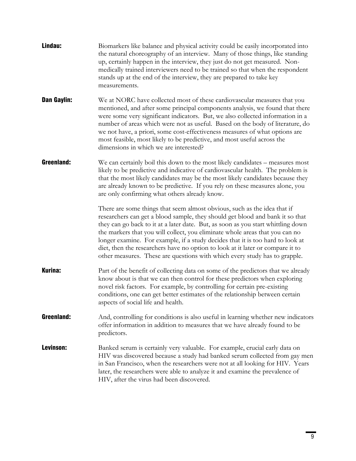| Lindau:            | Biomarkers like balance and physical activity could be easily incorporated into<br>the natural choreography of an interview. Many of those things, like standing<br>up, certainly happen in the interview, they just do not get measured. Non-<br>medically trained interviewers need to be trained so that when the respondent<br>stands up at the end of the interview, they are prepared to take key<br>measurements.                                                                                                                                                        |
|--------------------|---------------------------------------------------------------------------------------------------------------------------------------------------------------------------------------------------------------------------------------------------------------------------------------------------------------------------------------------------------------------------------------------------------------------------------------------------------------------------------------------------------------------------------------------------------------------------------|
| <b>Dan Gaylin:</b> | We at NORC have collected most of these cardiovascular measures that you<br>mentioned, and after some principal components analysis, we found that there<br>were some very significant indicators. But, we also collected information in a<br>number of areas which were not as useful. Based on the body of literature, do<br>we not have, a priori, some cost-effectiveness measures of what options are<br>most feasible, most likely to be predictive, and most useful across the<br>dimensions in which we are interested?                                                 |
| <b>Greenland:</b>  | We can certainly boil this down to the most likely candidates – measures most<br>likely to be predictive and indicative of cardiovascular health. The problem is<br>that the most likely candidates may be the most likely candidates because they<br>are already known to be predictive. If you rely on these measures alone, you<br>are only confirming what others already know.                                                                                                                                                                                             |
|                    | There are some things that seem almost obvious, such as the idea that if<br>researchers can get a blood sample, they should get blood and bank it so that<br>they can go back to it at a later date. But, as soon as you start whittling down<br>the markers that you will collect, you eliminate whole areas that you can no<br>longer examine. For example, if a study decides that it is too hard to look at<br>diet, then the researchers have no option to look at it later or compare it to<br>other measures. These are questions with which every study has to grapple. |
| Kurina:            | Part of the benefit of collecting data on some of the predictors that we already<br>know about is that we can then control for these predictors when exploring<br>novel risk factors. For example, by controlling for certain pre-existing<br>conditions, one can get better estimates of the relationship between certain<br>aspects of social life and health.                                                                                                                                                                                                                |
| <b>Greenland:</b>  | And, controlling for conditions is also useful in learning whether new indicators<br>offer information in addition to measures that we have already found to be<br>predictors.                                                                                                                                                                                                                                                                                                                                                                                                  |
| Levinson:          | Banked serum is certainly very valuable. For example, crucial early data on<br>HIV was discovered because a study had banked serum collected from gay men<br>in San Francisco, when the researchers were not at all looking for HIV. Years<br>later, the researchers were able to analyze it and examine the prevalence of<br>HIV, after the virus had been discovered.                                                                                                                                                                                                         |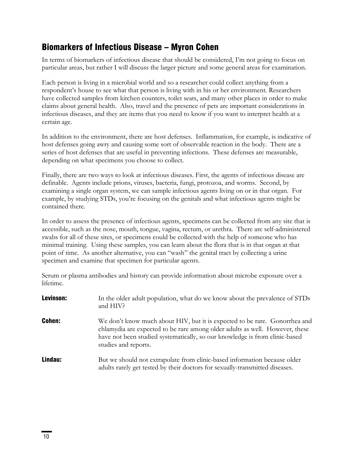### Biomarkers of Infectious Disease – Myron Cohen

In terms of biomarkers of infectious disease that should be considered, I'm not going to focus on particular areas, but rather I will discuss the larger picture and some general areas for examination.

Each person is living in a microbial world and so a researcher could collect anything from a respondent's house to see what that person is living with in his or her environment. Researchers have collected samples from kitchen counters, toilet seats, and many other places in order to make claims about general health. Also, travel and the presence of pets are important considerations in infectious diseases, and they are items that you need to know if you want to interpret health at a certain age.

In addition to the environment, there are host defenses. Inflammation, for example, is indicative of host defenses going awry and causing some sort of observable reaction in the body. There are a series of host defenses that are useful in preventing infections. These defenses are measurable, depending on what specimens you choose to collect.

Finally, there are two ways to look at infectious diseases. First, the agents of infectious disease are definable. Agents include prions, viruses, bacteria, fungi, protozoa, and worms. Second, by examining a single organ system, we can sample infectious agents living on or in that organ. For example, by studying STDs, you're focusing on the genitals and what infectious agents might be contained there.

In order to assess the presence of infectious agents, specimens can be collected from any site that is accessible, such as the nose, mouth, tongue, vagina, rectum, or urethra. There are self-administered swabs for all of these sites, or specimens could be collected with the help of someone who has minimal training. Using these samples, you can learn about the flora that is in that organ at that point of time. As another alternative, you can "wash" the genital tract by collecting a urine specimen and examine that specimen for particular agents.

Serum or plasma antibodies and history can provide information about microbe exposure over a lifetime.

| Levinson:     | In the older adult population, what do we know about the prevalence of STDs<br>and HIV?                                                                                                                                                                           |
|---------------|-------------------------------------------------------------------------------------------------------------------------------------------------------------------------------------------------------------------------------------------------------------------|
| <b>Cohen:</b> | We don't know much about HIV, but it is expected to be rare. Gonorrhea and<br>chlamydia are expected to be rare among older adults as well. However, these<br>have not been studied systematically, so our knowledge is from clinic-based<br>studies and reports. |
| Lindau:       | But we should not extrapolate from clinic-based information because older<br>adults rarely get tested by their doctors for sexually-transmitted diseases.                                                                                                         |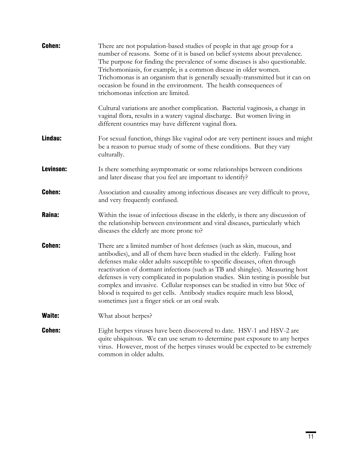| <b>Cohen:</b> | There are not population-based studies of people in that age group for a<br>number of reasons. Some of it is based on belief systems about prevalence.<br>The purpose for finding the prevalence of some diseases is also questionable.<br>Trichomoniasis, for example, is a common disease in older women.<br>Trichomonas is an organism that is generally sexually-transmitted but it can on<br>occasion be found in the environment. The health consequences of<br>trichomonas infection are limited.                                                                                                               |
|---------------|------------------------------------------------------------------------------------------------------------------------------------------------------------------------------------------------------------------------------------------------------------------------------------------------------------------------------------------------------------------------------------------------------------------------------------------------------------------------------------------------------------------------------------------------------------------------------------------------------------------------|
|               | Cultural variations are another complication. Bacterial vaginosis, a change in<br>vaginal flora, results in a watery vaginal discharge. But women living in<br>different countries may have different vaginal flora.                                                                                                                                                                                                                                                                                                                                                                                                   |
| Lindau:       | For sexual function, things like vaginal odor are very pertinent issues and might<br>be a reason to pursue study of some of these conditions. But they vary<br>culturally.                                                                                                                                                                                                                                                                                                                                                                                                                                             |
| Levinson:     | Is there something asymptomatic or some relationships between conditions<br>and later disease that you feel are important to identify?                                                                                                                                                                                                                                                                                                                                                                                                                                                                                 |
| <b>Cohen:</b> | Association and causality among infectious diseases are very difficult to prove,<br>and very frequently confused.                                                                                                                                                                                                                                                                                                                                                                                                                                                                                                      |
| Raina:        | Within the issue of infectious disease in the elderly, is there any discussion of<br>the relationship between environment and viral diseases, particularly which<br>diseases the elderly are more prone to?                                                                                                                                                                                                                                                                                                                                                                                                            |
| <b>Cohen:</b> | There are a limited number of host defenses (such as skin, mucous, and<br>antibodies), and all of them have been studied in the elderly. Failing host<br>defenses make older adults susceptible to specific diseases, often through<br>reactivation of dormant infections (such as TB and shingles). Measuring host<br>defenses is very complicated in population studies. Skin testing is possible but<br>complex and invasive. Cellular responses can be studied in vitro but 50cc of<br>blood is required to get cells. Antibody studies require much less blood,<br>sometimes just a finger stick or an oral swab. |
| <b>Waite:</b> | What about herpes?                                                                                                                                                                                                                                                                                                                                                                                                                                                                                                                                                                                                     |
| <b>Cohen:</b> | Eight herpes viruses have been discovered to date. HSV-1 and HSV-2 are<br>quite ubiquitous. We can use serum to determine past exposure to any herpes<br>virus. However, most of the herpes viruses would be expected to be extremely<br>common in older adults.                                                                                                                                                                                                                                                                                                                                                       |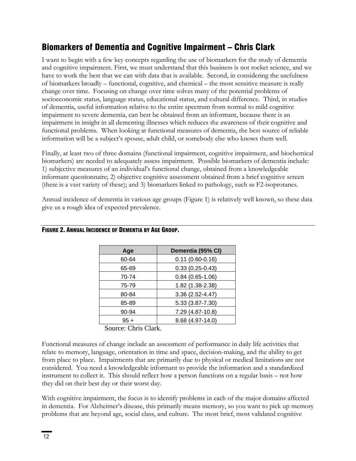### Biomarkers of Dementia and Cognitive Impairment – Chris Clark

I want to begin with a few key concepts regarding the use of biomarkers for the study of dementia and cognitive impairment. First, we must understand that this business is not rocket science, and we have to work the best that we can with data that is available. Second, in considering the usefulness of biomarkers broadly – functional, cognitive, and chemical – the most sensitive measure is really change over time. Focusing on change over time solves many of the potential problems of socioeconomic status, language status, educational status, and cultural difference. Third, in studies of dementia, useful information relative to the entire spectrum from normal to mild cognitive impairment to severe dementia, can best be obtained from an informant, because there is an impairment in insight in all dementing illnesses which reduces the awareness of their cognitive and functional problems. When looking at functional measures of dementia, the best source of reliable information will be a subject's spouse, adult child, or somebody else who knows them well.

Finally, at least two of three domains (functional impairment, cognitive impairment, and biochemical biomarkers) are needed to adequately assess impairment. Possible biomarkers of dementia include: 1) subjective measures of an individual's functional change, obtained from a knowledgeable informant questionnaire; 2) objective cognitive assessment obtained from a brief cognitive screen (there is a vast variety of these); and 3) biomarkers linked to pathology, such as F2-isoprotanes.

Annual incidence of dementia in various age groups (Figure 1) is relatively well known, so these data give us a rough idea of expected prevalence.

| Dementia (95% CI)   |
|---------------------|
| $0.11(0.60 - 0.16)$ |
| $0.33(0.25-0.43)$   |
| $0.84(0.65-1.06)$   |
| 1.82 (1.38-2.38)    |
| 3.36 (2.52-4.47)    |
| 5.33 (3.87-7.30)    |
| 7.29 (4.87-10.8)    |
| 8.68 (4.97-14.0)    |
|                     |

#### FIGURE 2. ANNUAL INCIDENCE OF DEMENTIA BY AGE GROUP.

Source: Chris Clark.

Functional measures of change include an assessment of performance in daily life activities that relate to memory, language, orientation in time and space, decision-making, and the ability to get from place to place. Impairments that are primarily due to physical or medical limitations are not considered. You need a knowledgeable informant to provide the information and a standardized instrument to collect it. This should reflect how a person functions on a regular basis – not how they did on their best day or their worst day.

With cognitive impairment, the focus is to identify problems in each of the major domains affected in dementia. For Alzheimer's disease, this primarily means memory, so you want to pick up memory problems that are beyond age, social class, and culture. The most brief, most validated cognitive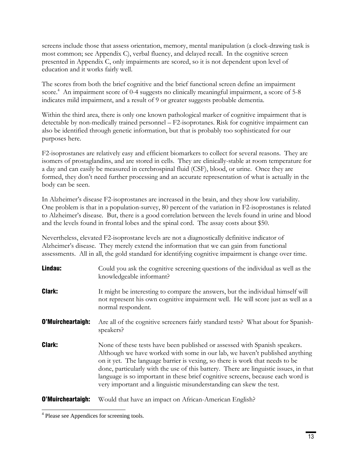screens include those that assess orientation, memory, mental manipulation (a clock-drawing task is most common; see Appendix C), verbal fluency, and delayed recall.In the cognitive screen presented in Appendix C, only impairments are scored, so it is not dependent upon level of education and it works fairly well.

The scores from both the brief cognitive and the brief functional screen define an impairment score.<sup>4</sup> An impairment score of 0-4 suggests no clinically meaningful impairment, a score of 5-8 indicates mild impairment, and a result of 9 or greater suggests probable dementia.

Within the third area, there is only one known pathological marker of cognitive impairment that is detectable by non-medically trained personnel – F2-isoprotanes. Risk for cognitive impairment can also be identified through genetic information, but that is probably too sophisticated for our purposes here.

F2-isoprostanes are relatively easy and efficient biomarkers to collect for several reasons. They are isomers of prostaglandins, and are stored in cells. They are clinically-stable at room temperature for a day and can easily be measured in cerebrospinal fluid (CSF), blood, or urine. Once they are formed, they don't need further processing and an accurate representation of what is actually in the body can be seen.

In Alzheimer's disease F2-isoprostanes are increased in the brain, and they show low variability. One problem is that in a population-survey, 80 percent of the variation in F2-isoprostanes is related to Alzheimer's disease. But, there is a good correlation between the levels found in urine and blood and the levels found in frontal lobes and the spinal cord. The assay costs about \$50.

Nevertheless, elevated F2-isoprostane levels are not a diagnostically definitive indicator of Alzheimer's disease. They merely extend the information that we can gain from functional assessments. All in all, the gold standard for identifying cognitive impairment is change over time.

| Lindau:                  | Could you ask the cognitive screening questions of the individual as well as the<br>knowledgeable informant?                                                                                                                                                                                                                                                                                                                                                                                 |
|--------------------------|----------------------------------------------------------------------------------------------------------------------------------------------------------------------------------------------------------------------------------------------------------------------------------------------------------------------------------------------------------------------------------------------------------------------------------------------------------------------------------------------|
| Clark:                   | It might be interesting to compare the answers, but the individual himself will<br>not represent his own cognitive impairment well. He will score just as well as a<br>normal respondent.                                                                                                                                                                                                                                                                                                    |
| <b>O'Muircheartaigh:</b> | Are all of the cognitive screeners fairly standard tests? What about for Spanish-<br>speakers?                                                                                                                                                                                                                                                                                                                                                                                               |
| Clark:                   | None of these tests have been published or assessed with Spanish speakers.<br>Although we have worked with some in our lab, we haven't published anything<br>on it yet. The language barrier is vexing, so there is work that needs to be<br>done, particularly with the use of this battery. There are linguistic issues, in that<br>language is so important in these brief cognitive screens, because each word is<br>very important and a linguistic misunderstanding can skew the test. |
| <b>O'Muircheartaigh:</b> | Would that have an impact on African-American English?                                                                                                                                                                                                                                                                                                                                                                                                                                       |

 $\overline{a}$ <sup>4</sup> Please see Appendices for screening tools.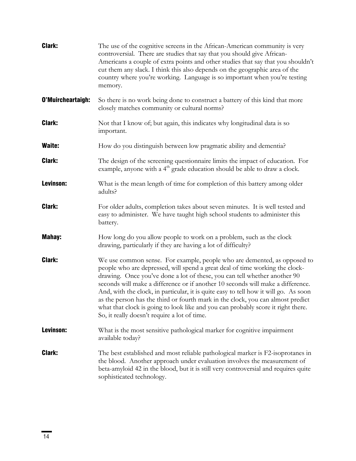| Clark:            | The use of the cognitive screens in the African-American community is very<br>controversial. There are studies that say that you should give African-<br>Americans a couple of extra points and other studies that say that you shouldn't<br>cut them any slack. I think this also depends on the geographic area of the<br>country where you're working. Language is so important when you're testing<br>memory.                                                                                                                                                                                                                       |
|-------------------|-----------------------------------------------------------------------------------------------------------------------------------------------------------------------------------------------------------------------------------------------------------------------------------------------------------------------------------------------------------------------------------------------------------------------------------------------------------------------------------------------------------------------------------------------------------------------------------------------------------------------------------------|
| O'Muircheartaigh: | So there is no work being done to construct a battery of this kind that more<br>closely matches community or cultural norms?                                                                                                                                                                                                                                                                                                                                                                                                                                                                                                            |
| Clark:            | Not that I know of; but again, this indicates why longitudinal data is so<br>important.                                                                                                                                                                                                                                                                                                                                                                                                                                                                                                                                                 |
| <b>Waite:</b>     | How do you distinguish between low pragmatic ability and dementia?                                                                                                                                                                                                                                                                                                                                                                                                                                                                                                                                                                      |
| Clark:            | The design of the screening questionnaire limits the impact of education. For<br>example, anyone with a $4th$ grade education should be able to draw a clock.                                                                                                                                                                                                                                                                                                                                                                                                                                                                           |
| Levinson:         | What is the mean length of time for completion of this battery among older<br>adults?                                                                                                                                                                                                                                                                                                                                                                                                                                                                                                                                                   |
| Clark:            | For older adults, completion takes about seven minutes. It is well tested and<br>easy to administer. We have taught high school students to administer this<br>battery.                                                                                                                                                                                                                                                                                                                                                                                                                                                                 |
| <b>Mahay:</b>     | How long do you allow people to work on a problem, such as the clock<br>drawing, particularly if they are having a lot of difficulty?                                                                                                                                                                                                                                                                                                                                                                                                                                                                                                   |
| Clark:            | We use common sense. For example, people who are demented, as opposed to<br>people who are depressed, will spend a great deal of time working the clock-<br>drawing. Once you've done a lot of these, you can tell whether another 90<br>seconds will make a difference or if another 10 seconds will make a difference.<br>And, with the clock, in particular, it is quite easy to tell how it will go. As soon<br>as the person has the third or fourth mark in the clock, you can almost predict<br>what that clock is going to look like and you can probably score it right there.<br>So, it really doesn't require a lot of time. |
| Levinson:         | What is the most sensitive pathological marker for cognitive impairment<br>available today?                                                                                                                                                                                                                                                                                                                                                                                                                                                                                                                                             |
| Clark:            | The best established and most reliable pathological marker is F2-isoprotanes in<br>the blood. Another approach under evaluation involves the measurement of<br>beta-amyloid 42 in the blood, but it is still very controversial and requires quite<br>sophisticated technology.                                                                                                                                                                                                                                                                                                                                                         |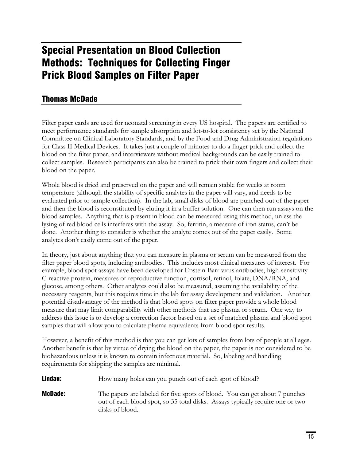## Special Presentation on Blood Collection Methods: Techniques for Collecting Finger Prick Blood Samples on Filter Paper

### Thomas McDade

Filter paper cards are used for neonatal screening in every US hospital. The papers are certified to meet performance standards for sample absorption and lot-to-lot consistency set by the National Committee on Clinical Laboratory Standards, and by the Food and Drug Administration regulations for Class II Medical Devices. It takes just a couple of minutes to do a finger prick and collect the blood on the filter paper, and interviewers without medical backgrounds can be easily trained to collect samples. Research participants can also be trained to prick their own fingers and collect their blood on the paper.

Whole blood is dried and preserved on the paper and will remain stable for weeks at room temperature (although the stability of specific analytes in the paper will vary, and needs to be evaluated prior to sample collection). In the lab, small disks of blood are punched out of the paper and then the blood is reconstituted by eluting it in a buffer solution. One can then run assays on the blood samples. Anything that is present in blood can be measured using this method, unless the lysing of red blood cells interferes with the assay. So, ferritin, a measure of iron status, can't be done. Another thing to consider is whether the analyte comes out of the paper easily. Some analytes don't easily come out of the paper.

In theory, just about anything that you can measure in plasma or serum can be measured from the filter paper blood spots, including antibodies. This includes most clinical measures of interest. For example, blood spot assays have been developed for Epstein-Barr virus antibodies, high-sensitivity C-reactive protein, measures of reproductive function, cortisol, retinol, folate, DNA/RNA, and glucose, among others. Other analytes could also be measured, assuming the availability of the necessary reagents, but this requires time in the lab for assay development and validation. Another potential disadvantage of the method is that blood spots on filter paper provide a whole blood measure that may limit comparability with other methods that use plasma or serum. One way to address this issue is to develop a correction factor based on a set of matched plasma and blood spot samples that will allow you to calculate plasma equivalents from blood spot results.

However, a benefit of this method is that you can get lots of samples from lots of people at all ages. Another benefit is that by virtue of drying the blood on the paper, the paper is not considered to be biohazardous unless it is known to contain infectious material. So, labeling and handling requirements for shipping the samples are minimal.

**Lindau:** How many holes can you punch out of each spot of blood? **McDade:** The papers are labeled for five spots of blood. You can get about 7 punches out of each blood spot, so 35 total disks. Assays typically require one or two disks of blood.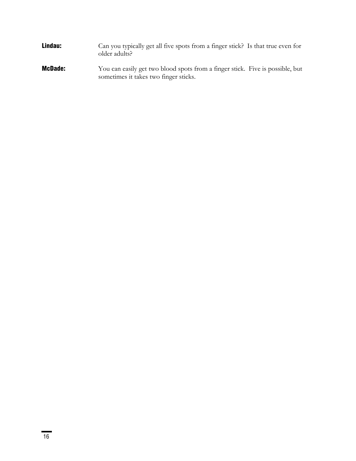| Lindau:        | Can you typically get all five spots from a finger stick? Is that true even for<br>older adults?                       |
|----------------|------------------------------------------------------------------------------------------------------------------------|
| <b>McDade:</b> | You can easily get two blood spots from a finger stick. Five is possible, but<br>sometimes it takes two finger sticks. |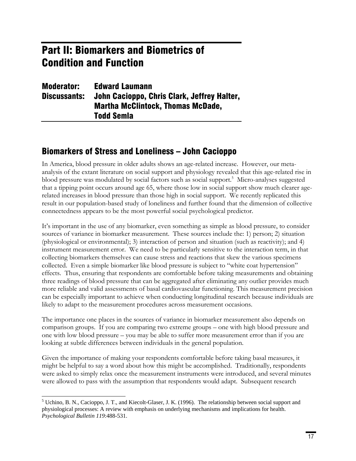## Part II: Biomarkers and Biometrics of Condition and Function

Moderator: Edward Laumann Discussants: John Cacioppo, Chris Clark, Jeffrey Halter, Martha McClintock, Thomas McDade, Todd Semla

### Biomarkers of Stress and Loneliness – John Cacioppo

In America, blood pressure in older adults shows an age-related increase. However, our metaanalysis of the extant literature on social support and physiology revealed that this age-related rise in blood pressure was modulated by social factors such as social support.<sup>5</sup> Micro-analyses suggested that a tipping point occurs around age 65, where those low in social support show much clearer agerelated increases in blood pressure than those high in social support. We recently replicated this result in our population-based study of loneliness and further found that the dimension of collective connectedness appears to be the most powerful social psychological predictor.

It's important in the use of any biomarker, even something as simple as blood pressure, to consider sources of variance in biomarker measurement. These sources include the: 1) person; 2) situation (physiological or environmental); 3) interaction of person and situation (such as reactivity); and 4) instrument measurement error. We need to be particularly sensitive to the interaction term, in that collecting biomarkers themselves can cause stress and reactions that skew the various specimens collected. Even a simple biomarker like blood pressure is subject to "white coat hypertension" effects. Thus, ensuring that respondents are comfortable before taking measurements and obtaining three readings of blood pressure that can be aggregated after eliminating any outlier provides much more reliable and valid assessments of basal cardiovascular functioning. This measurement precision can be especially important to achieve when conducting longitudinal research because individuals are likely to adapt to the measurement procedures across measurement occasions.

The importance one places in the sources of variance in biomarker measurement also depends on comparison groups. If you are comparing two extreme groups – one with high blood pressure and one with low blood pressure – you may be able to suffer more measurement error than if you are looking at subtle differences between individuals in the general population.

Given the importance of making your respondents comfortable before taking basal measures, it might be helpful to say a word about how this might be accomplished. Traditionally, respondents were asked to simply relax once the measurement instruments were introduced, and several minutes were allowed to pass with the assumption that respondents would adapt. Subsequent research

<sup>&</sup>lt;sup>5</sup> Uchino, B. N., Cacioppo, J. T., and Kiecolt-Glaser, J. K. (1996). The relationship between social support and physiological processes: A review with emphasis on underlying mechanisms and implications for health. *Psychological Bulletin 119*:488-531.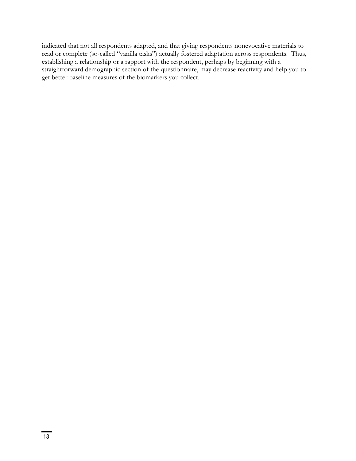indicated that not all respondents adapted, and that giving respondents nonevocative materials to read or complete (so-called "vanilla tasks") actually fostered adaptation across respondents. Thus, establishing a relationship or a rapport with the respondent, perhaps by beginning with a straightforward demographic section of the questionnaire, may decrease reactivity and help you to get better baseline measures of the biomarkers you collect.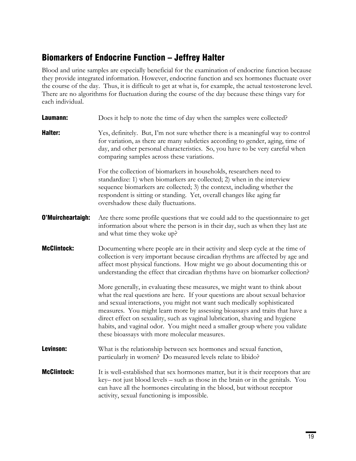## Biomarkers of Endocrine Function – Jeffrey Halter

Blood and urine samples are especially beneficial for the examination of endocrine function because they provide integrated information. However, endocrine function and sex hormones fluctuate over the course of the day. Thus, it is difficult to get at what is, for example, the actual testosterone level. There are no algorithms for fluctuation during the course of the day because these things vary for each individual.

| Laumann:                 | Does it help to note the time of day when the samples were collected?                                                                                                                                                                                                                                                                                                                                                                                                                                                                   |
|--------------------------|-----------------------------------------------------------------------------------------------------------------------------------------------------------------------------------------------------------------------------------------------------------------------------------------------------------------------------------------------------------------------------------------------------------------------------------------------------------------------------------------------------------------------------------------|
| <b>Halter:</b>           | Yes, definitely. But, I'm not sure whether there is a meaningful way to control<br>for variation, as there are many subtleties according to gender, aging, time of<br>day, and other personal characteristics. So, you have to be very careful when<br>comparing samples across these variations.                                                                                                                                                                                                                                       |
|                          | For the collection of biomarkers in households, researchers need to<br>standardize: 1) when biomarkers are collected; 2) when in the interview<br>sequence biomarkers are collected; 3) the context, including whether the<br>respondent is sitting or standing. Yet, overall changes like aging far<br>overshadow these daily fluctuations.                                                                                                                                                                                            |
| <b>O'Muircheartaigh:</b> | Are there some profile questions that we could add to the questionnaire to get<br>information about where the person is in their day, such as when they last ate<br>and what time they woke up?                                                                                                                                                                                                                                                                                                                                         |
| <b>McClintock:</b>       | Documenting where people are in their activity and sleep cycle at the time of<br>collection is very important because circadian rhythms are affected by age and<br>affect most physical functions. How might we go about documenting this or<br>understanding the effect that circadian rhythms have on biomarker collection?                                                                                                                                                                                                           |
|                          | More generally, in evaluating these measures, we might want to think about<br>what the real questions are here. If your questions are about sexual behavior<br>and sexual interactions, you might not want such medically sophisticated<br>measures. You might learn more by assessing bioassays and traits that have a<br>direct effect on sexuality, such as vaginal lubrication, shaving and hygiene<br>habits, and vaginal odor. You might need a smaller group where you validate<br>these bioassays with more molecular measures. |
| Levinson:                | What is the relationship between sex hormones and sexual function,<br>particularly in women? Do measured levels relate to libido?                                                                                                                                                                                                                                                                                                                                                                                                       |
| <b>McClintock:</b>       | It is well-established that sex hormones matter, but it is their receptors that are<br>key– not just blood levels – such as those in the brain or in the genitals. You<br>can have all the hormones circulating in the blood, but without receptor<br>activity, sexual functioning is impossible.                                                                                                                                                                                                                                       |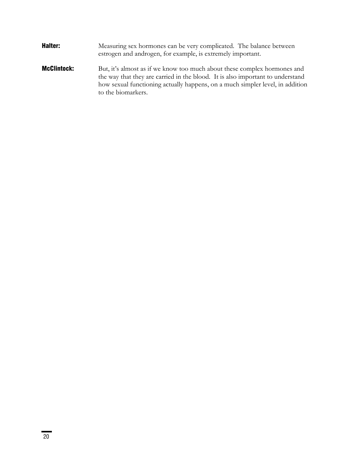- **Halter:** Measuring sex hormones can be very complicated. The balance between estrogen and androgen, for example, is extremely important.
- **McClintock:** But, it's almost as if we know too much about these complex hormones and the way that they are carried in the blood. It is also important to understand how sexual functioning actually happens, on a much simpler level, in addition to the biomarkers.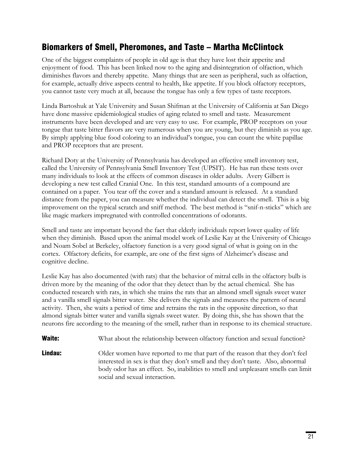### Biomarkers of Smell, Pheromones, and Taste – Martha McClintock

One of the biggest complaints of people in old age is that they have lost their appetite and enjoyment of food. This has been linked now to the aging and disintegration of olfaction, which diminishes flavors and thereby appetite. Many things that are seen as peripheral, such as olfaction, for example, actually drive aspects central to health, like appetite. If you block olfactory receptors, you cannot taste very much at all, because the tongue has only a few types of taste receptors.

Linda Bartoshuk at Yale University and Susan Shifman at the University of California at San Diego have done massive epidemiological studies of aging related to smell and taste. Measurement instruments have been developed and are very easy to use. For example, PROP receptors on your tongue that taste bitter flavors are very numerous when you are young, but they diminish as you age. By simply applying blue food coloring to an individual's tongue, you can count the white papillae and PROP receptors that are present.

Richard Doty at the University of Pennsylvania has developed an effective smell inventory test, called the University of Pennsylvania Smell Inventory Test (UPSIT). He has run these tests over many individuals to look at the effects of common diseases in older adults. Avery Gilbert is developing a new test called Cranial One. In this test, standard amounts of a compound are contained on a paper. You tear off the cover and a standard amount is released. At a standard distance from the paper, you can measure whether the individual can detect the smell. This is a big improvement on the typical scratch and sniff method. The best method is "snif-n-sticks" which are like magic markers impregnated with controlled concentrations of odorants.

Smell and taste are important beyond the fact that elderly individuals report lower quality of life when they diminish. Based upon the animal model work of Leslie Kay at the University of Chicago and Noam Sobel at Berkeley, olfactory function is a very good signal of what is going on in the cortex. Olfactory deficits, for example, are one of the first signs of Alzheimer's disease and cognitive decline.

Leslie Kay has also documented (with rats) that the behavior of mitral cells in the olfactory bulb is driven more by the meaning of the odor that they detect than by the actual chemical. She has conducted research with rats, in which she trains the rats that an almond smell signals sweet water and a vanilla smell signals bitter water. She delivers the signals and measures the pattern of neural activity. Then, she waits a period of time and retrains the rats in the opposite direction, so that almond signals bitter water and vanilla signals sweet water. By doing this, she has shown that the neurons fire according to the meaning of the smell, rather than in response to its chemical structure.

**Waite:** What about the relationship between olfactory function and sexual function?

**Lindau:** Older women have reported to me that part of the reason that they don't feel interested in sex is that they don't smell and they don't taste. Also, abnormal body odor has an effect. So, inabilities to smell and unpleasant smells can limit social and sexual interaction.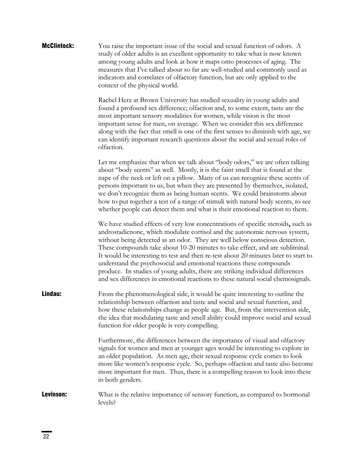| <b>McClintock:</b> | You raise the important issue of the social and sexual function of odors. A<br>study of older adults is an excellent opportunity to take what is now known<br>among young adults and look at how it maps onto processes of aging. The<br>measures that I've talked about so far are well-studied and commonly used as<br>indicators and correlates of olfactory function, but are only applied to the<br>context of the physical world.                                                                                                                                                                                                                           |
|--------------------|-------------------------------------------------------------------------------------------------------------------------------------------------------------------------------------------------------------------------------------------------------------------------------------------------------------------------------------------------------------------------------------------------------------------------------------------------------------------------------------------------------------------------------------------------------------------------------------------------------------------------------------------------------------------|
|                    | Rachel Herz at Brown University has studied sexuality in young adults and<br>found a profound sex difference; olfaction and, to some extent, taste are the<br>most important sensory modalities for women, while vision is the most<br>important sense for men, on average. When we consider this sex difference<br>along with the fact that smell is one of the first senses to diminish with age, we<br>can identify important research questions about the social and sexual roles of<br>olfaction.                                                                                                                                                            |
|                    | Let me emphasize that when we talk about "body odors," we are often talking<br>about "body scents" as well. Mostly, it is the faint smell that is found at the<br>nape of the neck or left on a pillow. Many of us can recognize these scents of<br>persons important to us, but when they are presented by themselves, isolated,<br>we don't recognize them as being human scents. We could brainstorm about<br>how to put together a test of a range of stimuli with natural body scents, to see<br>whether people can detect them and what is their emotional reaction to them.                                                                                |
|                    | We have studied effects of very low concentrations of specific steroids, such as<br>androstadienone, which modulate cortisol and the autonomic nervous system,<br>without being detected as an odor. They are well below conscious detection.<br>These compounds take about 10-20 minutes to take effect, and are subliminal.<br>It would be interesting to test and then re-test about 20 minutes later to start to<br>understand the psychosocial and emotional reactions these compounds<br>produce. In studies of young adults, there are striking individual differences<br>and sex differences in emotional reactions to these natural social chemosignals. |
| Lindau:            | From the phenomenological side, it would be quite interesting to outline the<br>relationship between olfaction and taste and social and sexual function, and<br>how these relationships change as people age. But, from the intervention side,<br>the idea that modulating taste and smell ability could improve social and sexual<br>function for older people is very compelling.                                                                                                                                                                                                                                                                               |
|                    | Furthermore, the differences between the importance of visual and olfactory<br>signals for women and men at younger ages would be interesting to explore in<br>an older population. As men age, their sexual response cycle comes to look<br>more like women's response cycle. So, perhaps olfaction and taste also become<br>more important for men. Thus, there is a compelling reason to look into these<br>in both genders.                                                                                                                                                                                                                                   |
| Levinson:          | What is the relative importance of sensory function, as compared to hormonal<br>levels?                                                                                                                                                                                                                                                                                                                                                                                                                                                                                                                                                                           |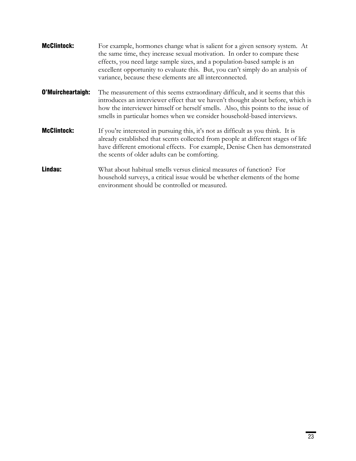| <b>McClintock:</b>       | For example, hormones change what is salient for a given sensory system. At<br>the same time, they increase sexual motivation. In order to compare these<br>effects, you need large sample sizes, and a population-based sample is an<br>excellent opportunity to evaluate this. But, you can't simply do an analysis of<br>variance, because these elements are all interconnected. |
|--------------------------|--------------------------------------------------------------------------------------------------------------------------------------------------------------------------------------------------------------------------------------------------------------------------------------------------------------------------------------------------------------------------------------|
| <b>O'Muircheartaigh:</b> | The measurement of this seems extraordinary difficult, and it seems that this<br>introduces an interviewer effect that we haven't thought about before, which is<br>how the interviewer himself or herself smells. Also, this points to the issue of<br>smells in particular homes when we consider household-based interviews.                                                      |
| <b>McClintock:</b>       | If you're interested in pursuing this, it's not as difficult as you think. It is<br>already established that scents collected from people at different stages of life<br>have different emotional effects. For example, Denise Chen has demonstrated<br>the scents of older adults can be comforting.                                                                                |
| Lindau:                  | What about habitual smells versus clinical measures of function? For<br>household surveys, a critical issue would be whether elements of the home<br>environment should be controlled or measured.                                                                                                                                                                                   |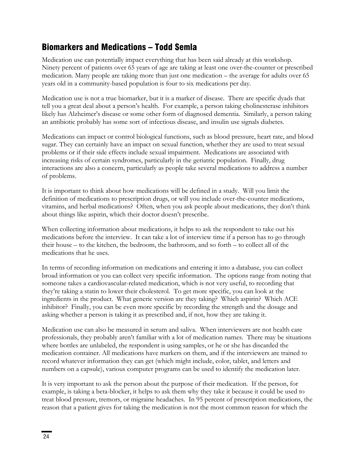### Biomarkers and Medications – Todd Semla

Medication use can potentially impact everything that has been said already at this workshop. Ninety percent of patients over 65 years of age are taking at least one over-the-counter or prescribed medication. Many people are taking more than just one medication – the average for adults over 65 years old in a community-based population is four to six medications per day.

Medication use is not a true biomarker, but it is a marker of disease. There are specific dyads that tell you a great deal about a person's health. For example, a person taking cholinesterase inhibitors likely has Alzheimer's disease or some other form of diagnosed dementia. Similarly, a person taking an antibiotic probably has some sort of infectious disease, and insulin use signals diabetes.

Medications can impact or control biological functions, such as blood pressure, heart rate, and blood sugar. They can certainly have an impact on sexual function, whether they are used to treat sexual problems or if their side effects include sexual impairment. Medications are associated with increasing risks of certain syndromes, particularly in the geriatric population. Finally, drug interactions are also a concern, particularly as people take several medications to address a number of problems.

It is important to think about how medications will be defined in a study. Will you limit the definition of medications to prescription drugs, or will you include over-the-counter medications, vitamins, and herbal medications? Often, when you ask people about medications, they don't think about things like aspirin, which their doctor doesn't prescribe.

When collecting information about medications, it helps to ask the respondent to take out his medications before the interview. It can take a lot of interview time if a person has to go through their house – to the kitchen, the bedroom, the bathroom, and so forth – to collect all of the medications that he uses.

In terms of recording information on medications and entering it into a database, you can collect broad information or you can collect very specific information. The options range from noting that someone takes a cardiovascular-related medication, which is not very useful, to recording that they're taking a statin to lower their cholesterol. To get more specific, you can look at the ingredients in the product. What generic version are they taking? Which aspirin? Which ACE inhibitor? Finally, you can be even more specific by recording the strength and the dosage and asking whether a person is taking it as prescribed and, if not, how they are taking it.

Medication use can also be measured in serum and saliva. When interviewers are not health care professionals, they probably aren't familiar with a lot of medication names. There may be situations where bottles are unlabeled, the respondent is using samples, or he or she has discarded the medication container. All medications have markers on them, and if the interviewers are trained to record whatever information they can get (which might include, color, tablet, and letters and numbers on a capsule), various computer programs can be used to identify the medication later.

It is very important to ask the person about the purpose of their medication. If the person, for example, is taking a beta-blocker, it helps to ask them why they take it because it could be used to treat blood pressure, tremors, or migraine headaches. In 95 percent of prescription medications, the reason that a patient gives for taking the medication is not the most common reason for which the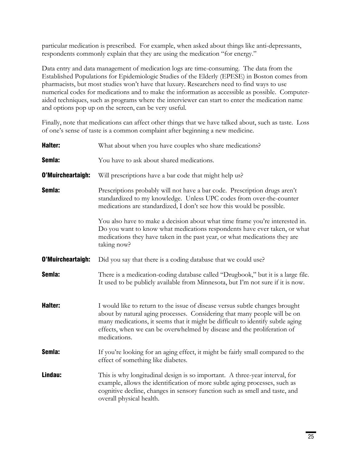particular medication is prescribed. For example, when asked about things like anti-depressants, respondents commonly explain that they are using the medication "for energy."

Data entry and data management of medication logs are time-consuming. The data from the Established Populations for Epidemiologic Studies of the Elderly (EPESE) in Boston comes from pharmacists, but most studies won't have that luxury. Researchers need to find ways to use numerical codes for medications and to make the information as accessible as possible. Computeraided techniques, such as programs where the interviewer can start to enter the medication name and options pop up on the screen, can be very useful.

Finally, note that medications can affect other things that we have talked about, such as taste. Loss of one's sense of taste is a common complaint after beginning a new medicine.

| Halter:                  | What about when you have couples who share medications?                                                                                                                                                                                                                                                                                |
|--------------------------|----------------------------------------------------------------------------------------------------------------------------------------------------------------------------------------------------------------------------------------------------------------------------------------------------------------------------------------|
| Semla:                   | You have to ask about shared medications.                                                                                                                                                                                                                                                                                              |
| <b>O'Muircheartaigh:</b> | Will prescriptions have a bar code that might help us?                                                                                                                                                                                                                                                                                 |
| Semla:                   | Prescriptions probably will not have a bar code. Prescription drugs aren't<br>standardized to my knowledge. Unless UPC codes from over-the-counter<br>medications are standardized, I don't see how this would be possible.                                                                                                            |
|                          | You also have to make a decision about what time frame you're interested in.<br>Do you want to know what medications respondents have ever taken, or what<br>medications they have taken in the past year, or what medications they are<br>taking now?                                                                                 |
| <b>O'Muircheartaigh:</b> | Did you say that there is a coding database that we could use?                                                                                                                                                                                                                                                                         |
| Semla:                   | There is a medication-coding database called "Drugbook," but it is a large file.<br>It used to be publicly available from Minnesota, but I'm not sure if it is now.                                                                                                                                                                    |
| Halter:                  | I would like to return to the issue of disease versus subtle changes brought<br>about by natural aging processes. Considering that many people will be on<br>many medications, it seems that it might be difficult to identify subtle aging<br>effects, when we can be overwhelmed by disease and the proliferation of<br>medications. |
| Semla:                   | If you're looking for an aging effect, it might be fairly small compared to the<br>effect of something like diabetes.                                                                                                                                                                                                                  |
| Lindau:                  | This is why longitudinal design is so important. A three-year interval, for<br>example, allows the identification of more subtle aging processes, such as<br>cognitive decline, changes in sensory function such as smell and taste, and<br>overall physical health.                                                                   |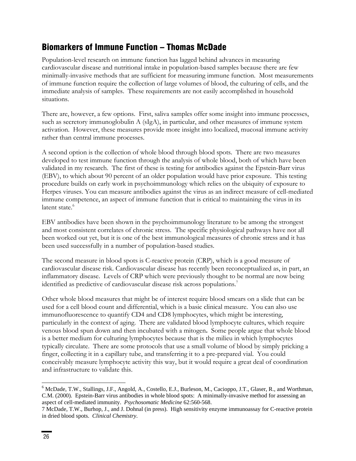### Biomarkers of Immune Function – Thomas McDade

Population-level research on immune function has lagged behind advances in measuring cardiovascular disease and nutritional intake in population-based samples because there are few minimally-invasive methods that are sufficient for measuring immune function. Most measurements of immune function require the collection of large volumes of blood, the culturing of cells, and the immediate analysis of samples. These requirements are not easily accomplished in household situations.

There are, however, a few options. First, saliva samples offer some insight into immune processes, such as secretory immunoglobulin A (sIgA), in particular, and other measures of immune system activation. However, these measures provide more insight into localized, mucosal immune activity rather than central immune processes.

A second option is the collection of whole blood through blood spots. There are two measures developed to test immune function through the analysis of whole blood, both of which have been validated in my research. The first of these is testing for antibodies against the Epstein-Barr virus (EBV), to which about 90 percent of an older population would have prior exposure. This testing procedure builds on early work in psychoimmunology which relies on the ubiquity of exposure to Herpes viruses. You can measure antibodies against the virus as an indirect measure of cell-mediated immune competence, an aspect of immune function that is critical to maintaining the virus in its latent state.<sup>6</sup>

EBV antibodies have been shown in the psychoimmunology literature to be among the strongest and most consistent correlates of chronic stress. The specific physiological pathways have not all been worked out yet, but it is one of the best immunological measures of chronic stress and it has been used successfully in a number of population-based studies.

The second measure in blood spots is C-reactive protein (CRP), which is a good measure of cardiovascular disease risk. Cardiovascular disease has recently been reconceptualized as, in part, an inflammatory disease. Levels of CRP which were previously thought to be normal are now being identified as predictive of cardiovascular disease risk across populations.<sup>7</sup>

Other whole blood measures that might be of interest require blood smears on a slide that can be used for a cell blood count and differential, which is a basic clinical measure. You can also use immunofluorescence to quantify CD4 and CD8 lymphocytes, which might be interesting, particularly in the context of aging. There are validated blood lymphocyte cultures, which require venous blood spun down and then incubated with a mitogen**.** Some people argue that whole blood is a better medium for culturing lymphocytes because that is the milieu in which lymphocytes typically circulate. There are some protocols that use a small volume of blood by simply pricking a finger, collecting it in a capillary tube, and transferring it to a pre-prepared vial. You could conceivably measure lymphocyte activity this way, but it would require a great deal of coordination and infrastructure to validate this.

 $\overline{a}$ 

<sup>&</sup>lt;sup>6</sup> McDade, T.W., Stallings, J.F., Angold, A., Costello, E.J., Burleson, M., Cacioppo, J.T., Glaser, R., and Worthman, C.M. (2000). Epstein-Barr virus antibodies in whole blood spots: A minimally-invasive method for assessing an aspect of cell-mediated immunity. *Psychosomatic Medicine* 62:560-568.

<sup>7</sup> McDade, T.W., Burhop, J., and J. Dohnal (in press). High sensitivity enzyme immunoassay for C-reactive protein in dried blood spots. *Clinical Chemistry*.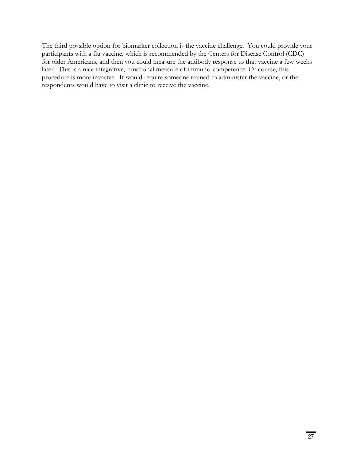The third possible option for biomarker collection is the vaccine challenge. You could provide your participants with a flu vaccine, which is recommended by the Centers for Disease Control (CDC) for older Americans, and then you could measure the antibody response to that vaccine a few weeks later. This is a nice integrative, functional measure of immuno-competence. Of course, this procedure is more invasive. It would require someone trained to administer the vaccine, or the respondents would have to visit a clinic to receive the vaccine.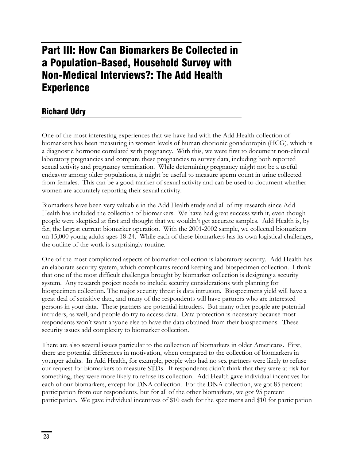## Part III: How Can Biomarkers Be Collected in a Population-Based, Household Survey with Non-Medical Interviews?: The Add Health Experience

### Richard Udry

One of the most interesting experiences that we have had with the Add Health collection of biomarkers has been measuring in women levels of human chorionic gonadotropin (HCG), which is a diagnostic hormone correlated with pregnancy. With this, we were first to document non-clinical laboratory pregnancies and compare these pregnancies to survey data, including both reported sexual activity and pregnancy termination. While determining pregnancy might not be a useful endeavor among older populations, it might be useful to measure sperm count in urine collected from females. This can be a good marker of sexual activity and can be used to document whether women are accurately reporting their sexual activity.

Biomarkers have been very valuable in the Add Health study and all of my research since Add Health has included the collection of biomarkers. We have had great success with it, even though people were skeptical at first and thought that we wouldn't get accurate samples. Add Health is, by far, the largest current biomarker operation. With the 2001-2002 sample, we collected biomarkers on 15,000 young adults ages 18-24. While each of these biomarkers has its own logistical challenges, the outline of the work is surprisingly routine.

One of the most complicated aspects of biomarker collection is laboratory security. Add Health has an elaborate security system, which complicates record keeping and biospecimen collection. I think that one of the most difficult challenges brought by biomarker collection is designing a security system. Any research project needs to include security considerations with planning for biospecimen collection. The major security threat is data intrusion. Biospecimens yield will have a great deal of sensitive data, and many of the respondents will have partners who are interested persons in your data. These partners are potential intruders. But many other people are potential intruders, as well, and people do try to access data. Data protection is necessary because most respondents won't want anyone else to have the data obtained from their biospecimens. These security issues add complexity to biomarker collection.

There are also several issues particular to the collection of biomarkers in older Americans. First, there are potential differences in motivation, when compared to the collection of biomarkers in younger adults. In Add Health, for example, people who had no sex partners were likely to refuse our request for biomarkers to measure STDs. If respondents didn't think that they were at risk for something, they were more likely to refuse its collection. Add Health gave individual incentives for each of our biomarkers, except for DNA collection. For the DNA collection, we got 85 percent participation from our respondents, but for all of the other biomarkers, we got 95 percent participation. We gave individual incentives of \$10 each for the specimens and \$10 for participation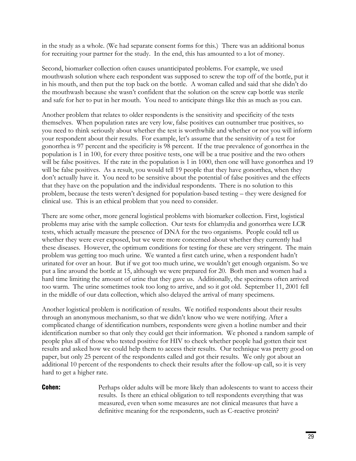in the study as a whole. (We had separate consent forms for this.) There was an additional bonus for recruiting your partner for the study. In the end, this has amounted to a lot of money.

Second, biomarker collection often causes unanticipated problems. For example, we used mouthwash solution where each respondent was supposed to screw the top off of the bottle, put it in his mouth, and then put the top back on the bottle. A woman called and said that she didn't do the mouthwash because she wasn't confident that the solution on the screw cap bottle was sterile and safe for her to put in her mouth. You need to anticipate things like this as much as you can.

Another problem that relates to older respondents is the sensitivity and specificity of the tests themselves. When population rates are very low, false positives can outnumber true positives, so you need to think seriously about whether the test is worthwhile and whether or not you will inform your respondent about their results. For example, let's assume that the sensitivity of a test for gonorrhea is 97 percent and the specificity is 98 percent. If the true prevalence of gonorrhea in the population is 1 in 100, for every three positive tests, one will be a true positive and the two others will be false positives. If the rate in the population is 1 in 1000, then one will have gonorrhea and 19 will be false positives. As a result, you would tell 19 people that they have gonorrhea, when they don't actually have it. You need to be sensitive about the potential of false positives and the effects that they have on the population and the individual respondents. There is no solution to this problem, because the tests weren't designed for population-based testing – they were designed for clinical use. This is an ethical problem that you need to consider.

There are some other, more general logistical problems with biomarker collection. First, logistical problems may arise with the sample collection. Our tests for chlamydia and gonorrhea were LCR tests, which actually measure the presence of DNA for the two organisms. People could tell us whether they were ever exposed, but we were more concerned about whether they currently had these diseases. However, the optimum conditions for testing for these are very stringent. The main problem was getting too much urine. We wanted a first catch urine, when a respondent hadn't urinated for over an hour. But if we got too much urine, we wouldn't get enough organism. So we put a line around the bottle at 15, although we were prepared for 20. Both men and women had a hard time limiting the amount of urine that they gave us. Additionally, the specimens often arrived too warm. The urine sometimes took too long to arrive, and so it got old. September 11, 2001 fell in the middle of our data collection, which also delayed the arrival of many specimens.

Another logistical problem is notification of results. We notified respondents about their results through an anonymous mechanism, so that we didn't know who we were notifying. After a complicated change of identification numbers, respondents were given a hotline number and their identification number so that only they could get their information. We phoned a random sample of people plus all of those who tested positive for HIV to check whether people had gotten their test results and asked how we could help them to access their results. Our technique was pretty good on paper, but only 25 percent of the respondents called and got their results. We only got about an additional 10 percent of the respondents to check their results after the follow-up call, so it is very hard to get a higher rate.

**Cohen:** Perhaps older adults will be more likely than adolescents to want to access their results. Is there an ethical obligation to tell respondents everything that was measured, even when some measures are not clinical measures that have a definitive meaning for the respondents, such as C-reactive protein?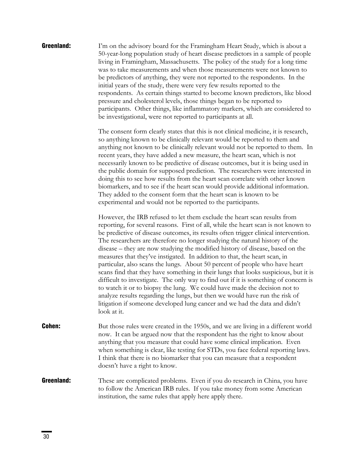| Greenland:    | I'm on the advisory board for the Framingham Heart Study, which is about a<br>50-year-long population study of heart disease predictors in a sample of people<br>living in Framingham, Massachusetts. The policy of the study for a long time<br>was to take measurements and when those measurements were not known to<br>be predictors of anything, they were not reported to the respondents. In the<br>initial years of the study, there were very few results reported to the<br>respondents. As certain things started to become known predictors, like blood<br>pressure and cholesterol levels, those things began to be reported to<br>participants. Other things, like inflammatory markers, which are considered to<br>be investigational, were not reported to participants at all.                                                                                                                                                                                                                          |
|---------------|--------------------------------------------------------------------------------------------------------------------------------------------------------------------------------------------------------------------------------------------------------------------------------------------------------------------------------------------------------------------------------------------------------------------------------------------------------------------------------------------------------------------------------------------------------------------------------------------------------------------------------------------------------------------------------------------------------------------------------------------------------------------------------------------------------------------------------------------------------------------------------------------------------------------------------------------------------------------------------------------------------------------------|
|               | The consent form clearly states that this is not clinical medicine, it is research,<br>so anything known to be clinically relevant would be reported to them and<br>anything not known to be clinically relevant would not be reported to them. In<br>recent years, they have added a new measure, the heart scan, which is not<br>necessarily known to be predictive of disease outcomes, but it is being used in<br>the public domain for supposed prediction. The researchers were interested in<br>doing this to see how results from the heart scan correlate with other known<br>biomarkers, and to see if the heart scan would provide additional information.<br>They added to the consent form that the heart scan is known to be<br>experimental and would not be reported to the participants.                                                                                                                                                                                                                |
|               | However, the IRB refused to let them exclude the heart scan results from<br>reporting, for several reasons. First of all, while the heart scan is not known to<br>be predictive of disease outcomes, its results often trigger clinical intervention.<br>The researchers are therefore no longer studying the natural history of the<br>disease – they are now studying the modified history of disease, based on the<br>measures that they've instigated. In addition to that, the heart scan, in<br>particular, also scans the lungs. About 50 percent of people who have heart<br>scans find that they have something in their lungs that looks suspicious, but it is<br>difficult to investigate. The only way to find out if it is something of concern is<br>to watch it or to biopsy the lung. We could have made the decision not to<br>analyze results regarding the lungs, but then we would have run the risk of<br>litigation if someone developed lung cancer and we had the data and didn't<br>look at it. |
| <b>Cohen:</b> | But those rules were created in the 1950s, and we are living in a different world<br>now. It can be argued now that the respondent has the right to know about<br>anything that you measure that could have some clinical implication. Even<br>when something is clear, like testing for STDs, you face federal reporting laws.<br>I think that there is no biomarker that you can measure that a respondent<br>doesn't have a right to know.                                                                                                                                                                                                                                                                                                                                                                                                                                                                                                                                                                            |
| Greenland:    | These are complicated problems. Even if you do research in China, you have<br>to follow the American IRB rules. If you take money from some American<br>institution, the same rules that apply here apply there.                                                                                                                                                                                                                                                                                                                                                                                                                                                                                                                                                                                                                                                                                                                                                                                                         |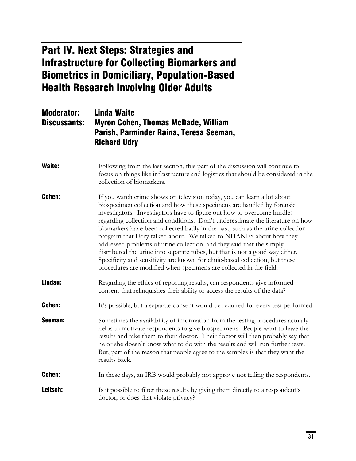## Part IV. Next Steps: Strategies and Infrastructure for Collecting Biomarkers and Biometrics in Domiciliary, Population-Based Health Research Involving Older Adults

| <b>Moderator:</b><br><b>Discussants:</b> | Linda Waite<br><b>Myron Cohen, Thomas McDade, William</b> |
|------------------------------------------|-----------------------------------------------------------|
|                                          | Parish, Parminder Raina, Teresa Seeman,                   |
|                                          | <b>Richard Udry</b>                                       |

| <b>Waite:</b> | Following from the last section, this part of the discussion will continue to<br>focus on things like infrastructure and logistics that should be considered in the<br>collection of biomarkers.                                                                                                                                                                                                                                                                                                                                                                                                                                                                                                                                                                                       |
|---------------|----------------------------------------------------------------------------------------------------------------------------------------------------------------------------------------------------------------------------------------------------------------------------------------------------------------------------------------------------------------------------------------------------------------------------------------------------------------------------------------------------------------------------------------------------------------------------------------------------------------------------------------------------------------------------------------------------------------------------------------------------------------------------------------|
| <b>Cohen:</b> | If you watch crime shows on television today, you can learn a lot about<br>biospecimen collection and how these specimens are handled by forensic<br>investigators. Investigators have to figure out how to overcome hurdles<br>regarding collection and conditions. Don't underestimate the literature on how<br>biomarkers have been collected badly in the past, such as the urine collection<br>program that Udry talked about. We talked to NHANES about how they<br>addressed problems of urine collection, and they said that the simply<br>distributed the urine into separate tubes, but that is not a good way either.<br>Specificity and sensitivity are known for clinic-based collection, but these<br>procedures are modified when specimens are collected in the field. |
| Lindau:       | Regarding the ethics of reporting results, can respondents give informed<br>consent that relinquishes their ability to access the results of the data?                                                                                                                                                                                                                                                                                                                                                                                                                                                                                                                                                                                                                                 |
| <b>Cohen:</b> | It's possible, but a separate consent would be required for every test performed.                                                                                                                                                                                                                                                                                                                                                                                                                                                                                                                                                                                                                                                                                                      |
| Seeman:       | Sometimes the availability of information from the testing procedures actually<br>helps to motivate respondents to give biospecimens. People want to have the<br>results and take them to their doctor. Their doctor will then probably say that<br>he or she doesn't know what to do with the results and will run further tests.<br>But, part of the reason that people agree to the samples is that they want the<br>results back.                                                                                                                                                                                                                                                                                                                                                  |
| <b>Cohen:</b> | In these days, an IRB would probably not approve not telling the respondents.                                                                                                                                                                                                                                                                                                                                                                                                                                                                                                                                                                                                                                                                                                          |
| Leitsch:      | Is it possible to filter these results by giving them directly to a respondent's<br>doctor, or does that violate privacy?                                                                                                                                                                                                                                                                                                                                                                                                                                                                                                                                                                                                                                                              |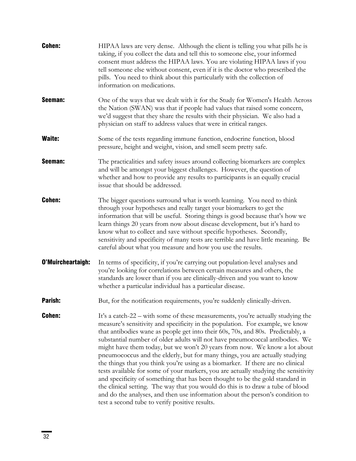| <b>Cohen:</b>            | HIPAA laws are very dense. Although the client is telling you what pills he is<br>taking, if you collect the data and tell this to someone else, your informed<br>consent must address the HIPAA laws. You are violating HIPAA laws if you<br>tell someone else without consent, even if it is the doctor who prescribed the<br>pills. You need to think about this particularly with the collection of<br>information on medications.                                                                                                                                                                                                                                                                                                                                                                                                                                                                                                                                             |
|--------------------------|------------------------------------------------------------------------------------------------------------------------------------------------------------------------------------------------------------------------------------------------------------------------------------------------------------------------------------------------------------------------------------------------------------------------------------------------------------------------------------------------------------------------------------------------------------------------------------------------------------------------------------------------------------------------------------------------------------------------------------------------------------------------------------------------------------------------------------------------------------------------------------------------------------------------------------------------------------------------------------|
| Seeman:                  | One of the ways that we dealt with it for the Study for Women's Health Across<br>the Nation (SWAN) was that if people had values that raised some concern,<br>we'd suggest that they share the results with their physician. We also had a<br>physician on staff to address values that were in critical ranges.                                                                                                                                                                                                                                                                                                                                                                                                                                                                                                                                                                                                                                                                   |
| <b>Waite:</b>            | Some of the tests regarding immune function, endocrine function, blood<br>pressure, height and weight, vision, and smell seem pretty safe.                                                                                                                                                                                                                                                                                                                                                                                                                                                                                                                                                                                                                                                                                                                                                                                                                                         |
| Seeman:                  | The practicalities and safety issues around collecting biomarkers are complex<br>and will be amongst your biggest challenges. However, the question of<br>whether and how to provide any results to participants is an equally crucial<br>issue that should be addressed.                                                                                                                                                                                                                                                                                                                                                                                                                                                                                                                                                                                                                                                                                                          |
| <b>Cohen:</b>            | The bigger questions surround what is worth learning. You need to think<br>through your hypotheses and really target your biomarkers to get the<br>information that will be useful. Storing things is good because that's how we<br>learn things 20 years from now about disease development, but it's hard to<br>know what to collect and save without specific hypotheses. Secondly,<br>sensitivity and specificity of many tests are terrible and have little meaning. Be<br>careful about what you measure and how you use the results.                                                                                                                                                                                                                                                                                                                                                                                                                                        |
| <b>O'Muircheartaigh:</b> | In terms of specificity, if you're carrying out population-level analyses and<br>you're looking for correlations between certain measures and others, the<br>standards are lower than if you are clinically-driven and you want to know<br>whether a particular individual has a particular disease.                                                                                                                                                                                                                                                                                                                                                                                                                                                                                                                                                                                                                                                                               |
| Parish:                  | But, for the notification requirements, you're suddenly clinically-driven.                                                                                                                                                                                                                                                                                                                                                                                                                                                                                                                                                                                                                                                                                                                                                                                                                                                                                                         |
| <b>Cohen:</b>            | It's a catch-22 – with some of these measurements, you're actually studying the<br>measure's sensitivity and specificity in the population. For example, we know<br>that antibodies wane as people get into their 60s, 70s, and 80s. Predictably, a<br>substantial number of older adults will not have pneumococcal antibodies. We<br>might have them today, but we won't 20 years from now. We know a lot about<br>pneumococcus and the elderly, but for many things, you are actually studying<br>the things that you think you're using as a biomarker. If there are no clinical<br>tests available for some of your markers, you are actually studying the sensitivity<br>and specificity of something that has been thought to be the gold standard in<br>the clinical setting. The way that you would do this is to draw a tube of blood<br>and do the analyses, and then use information about the person's condition to<br>test a second tube to verify positive results. |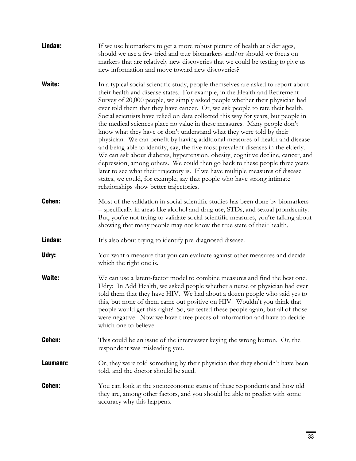| Lindau:       | If we use biomarkers to get a more robust picture of health at older ages,<br>should we use a few tried and true biomarkers and/or should we focus on<br>markers that are relatively new discoveries that we could be testing to give us<br>new information and move toward new discoveries?                                                                                                                                                                                                                                                                                                                                                                                                                                                                                                                                                                                                                                                                                                                                                                                                                              |
|---------------|---------------------------------------------------------------------------------------------------------------------------------------------------------------------------------------------------------------------------------------------------------------------------------------------------------------------------------------------------------------------------------------------------------------------------------------------------------------------------------------------------------------------------------------------------------------------------------------------------------------------------------------------------------------------------------------------------------------------------------------------------------------------------------------------------------------------------------------------------------------------------------------------------------------------------------------------------------------------------------------------------------------------------------------------------------------------------------------------------------------------------|
| <b>Waite:</b> | In a typical social scientific study, people themselves are asked to report about<br>their health and disease states. For example, in the Health and Retirement<br>Survey of 20,000 people, we simply asked people whether their physician had<br>ever told them that they have cancer. Or, we ask people to rate their health.<br>Social scientists have relied on data collected this way for years, but people in<br>the medical sciences place no value in these measures. Many people don't<br>know what they have or don't understand what they were told by their<br>physician. We can benefit by having additional measures of health and disease<br>and being able to identify, say, the five most prevalent diseases in the elderly.<br>We can ask about diabetes, hypertension, obesity, cognitive decline, cancer, and<br>depression, among others. We could then go back to these people three years<br>later to see what their trajectory is. If we have multiple measures of disease<br>states, we could, for example, say that people who have strong intimate<br>relationships show better trajectories. |
| <b>Cohen:</b> | Most of the validation in social scientific studies has been done by biomarkers<br>- specifically in areas like alcohol and drug use, STDs, and sexual promiscuity.<br>But, you're not trying to validate social scientific measures, you're talking about<br>showing that many people may not know the true state of their health.                                                                                                                                                                                                                                                                                                                                                                                                                                                                                                                                                                                                                                                                                                                                                                                       |
| Lindau:       | It's also about trying to identify pre-diagnosed disease.                                                                                                                                                                                                                                                                                                                                                                                                                                                                                                                                                                                                                                                                                                                                                                                                                                                                                                                                                                                                                                                                 |
| Udry:         | You want a measure that you can evaluate against other measures and decide<br>which the right one is.                                                                                                                                                                                                                                                                                                                                                                                                                                                                                                                                                                                                                                                                                                                                                                                                                                                                                                                                                                                                                     |
| <b>Waite:</b> | We can use a latent-factor model to combine measures and find the best one.<br>Udry: In Add Health, we asked people whether a nurse or physician had ever<br>told them that they have HIV. We had about a dozen people who said yes to<br>this, but none of them came out positive on HIV. Wouldn't you think that<br>people would get this right? So, we tested these people again, but all of those<br>were negative. Now we have three pieces of information and have to decide<br>which one to believe.                                                                                                                                                                                                                                                                                                                                                                                                                                                                                                                                                                                                               |
| <b>Cohen:</b> | This could be an issue of the interviewer keying the wrong button. Or, the<br>respondent was misleading you.                                                                                                                                                                                                                                                                                                                                                                                                                                                                                                                                                                                                                                                                                                                                                                                                                                                                                                                                                                                                              |
| Laumann:      | Or, they were told something by their physician that they shouldn't have been<br>told, and the doctor should be sued.                                                                                                                                                                                                                                                                                                                                                                                                                                                                                                                                                                                                                                                                                                                                                                                                                                                                                                                                                                                                     |
| <b>Cohen:</b> | You can look at the socioeconomic status of these respondents and how old<br>they are, among other factors, and you should be able to predict with some<br>accuracy why this happens.                                                                                                                                                                                                                                                                                                                                                                                                                                                                                                                                                                                                                                                                                                                                                                                                                                                                                                                                     |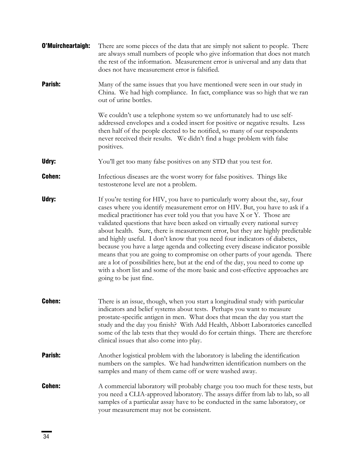| <b>O'Muircheartaigh:</b> | There are some pieces of the data that are simply not salient to people. There<br>are always small numbers of people who give information that does not match<br>the rest of the information. Measurement error is universal and any data that<br>does not have measurement error is falsified.                                                                                                                                                                                                                                                                                                                                                                                                                                                                                                                                                           |
|--------------------------|-----------------------------------------------------------------------------------------------------------------------------------------------------------------------------------------------------------------------------------------------------------------------------------------------------------------------------------------------------------------------------------------------------------------------------------------------------------------------------------------------------------------------------------------------------------------------------------------------------------------------------------------------------------------------------------------------------------------------------------------------------------------------------------------------------------------------------------------------------------|
| Parish:                  | Many of the same issues that you have mentioned were seen in our study in<br>China. We had high compliance. In fact, compliance was so high that we ran<br>out of urine bottles.                                                                                                                                                                                                                                                                                                                                                                                                                                                                                                                                                                                                                                                                          |
|                          | We couldn't use a telephone system so we unfortunately had to use self-<br>addressed envelopes and a coded insert for positive or negative results. Less<br>then half of the people elected to be notified, so many of our respondents<br>never received their results. We didn't find a huge problem with false<br>positives.                                                                                                                                                                                                                                                                                                                                                                                                                                                                                                                            |
| Udry:                    | You'll get too many false positives on any STD that you test for.                                                                                                                                                                                                                                                                                                                                                                                                                                                                                                                                                                                                                                                                                                                                                                                         |
| <b>Cohen:</b>            | Infectious diseases are the worst worry for false positives. Things like<br>testosterone level are not a problem.                                                                                                                                                                                                                                                                                                                                                                                                                                                                                                                                                                                                                                                                                                                                         |
| Udry:                    | If you're testing for HIV, you have to particularly worry about the, say, four<br>cases where you identify measurement error on HIV. But, you have to ask if a<br>medical practitioner has ever told you that you have X or Y. Those are<br>validated questions that have been asked on virtually every national survey<br>about health. Sure, there is measurement error, but they are highly predictable<br>and highly useful. I don't know that you need four indicators of diabetes,<br>because you have a large agenda and collecting every disease indicator possible<br>means that you are going to compromise on other parts of your agenda. There<br>are a lot of possibilities here, but at the end of the day, you need to come up<br>with a short list and some of the more basic and cost-effective approaches are<br>going to be just fine. |
| <b>Cohen:</b>            | There is an issue, though, when you start a longitudinal study with particular<br>indicators and belief systems about tests. Perhaps you want to measure<br>prostate-specific antigen in men. What does that mean the day you start the<br>study and the day you finish? With Add Health, Abbott Laboratories cancelled<br>some of the lab tests that they would do for certain things. There are therefore<br>clinical issues that also come into play.                                                                                                                                                                                                                                                                                                                                                                                                  |
| Parish:                  | Another logistical problem with the laboratory is labeling the identification<br>numbers on the samples. We had handwritten identification numbers on the<br>samples and many of them came off or were washed away.                                                                                                                                                                                                                                                                                                                                                                                                                                                                                                                                                                                                                                       |
| <b>Cohen:</b>            | A commercial laboratory will probably charge you too much for these tests, but<br>you need a CLIA-approved laboratory. The assays differ from lab to lab, so all<br>samples of a particular assay have to be conducted in the same laboratory, or<br>your measurement may not be consistent.                                                                                                                                                                                                                                                                                                                                                                                                                                                                                                                                                              |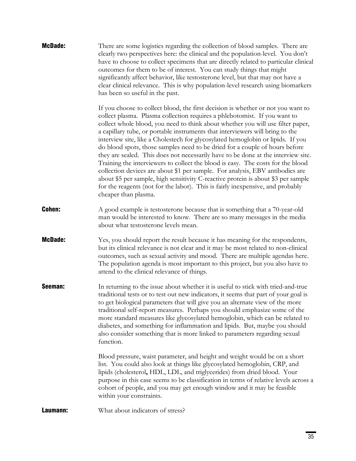| <b>McDade:</b> | There are some logistics regarding the collection of blood samples. There are<br>clearly two perspectives here: the clinical and the population-level. You don't<br>have to choose to collect specimens that are directly related to particular clinical<br>outcomes for them to be of interest. You can study things that might<br>significantly affect behavior, like testosterone level, but that may not have a<br>clear clinical relevance. This is why population-level research using biomarkers<br>has been so useful in the past.                                                                                                                                                                                                                                                                                                                                                                                                                  |
|----------------|-------------------------------------------------------------------------------------------------------------------------------------------------------------------------------------------------------------------------------------------------------------------------------------------------------------------------------------------------------------------------------------------------------------------------------------------------------------------------------------------------------------------------------------------------------------------------------------------------------------------------------------------------------------------------------------------------------------------------------------------------------------------------------------------------------------------------------------------------------------------------------------------------------------------------------------------------------------|
|                | If you choose to collect blood, the first decision is whether or not you want to<br>collect plasma. Plasma collection requires a phlebotomist. If you want to<br>collect whole blood, you need to think about whether you will use filter paper,<br>a capillary tube, or portable instruments that interviewers will bring to the<br>interview site, like a Cholestech for glycosylated hemoglobin or lipids. If you<br>do blood spots, those samples need to be dried for a couple of hours before<br>they are sealed. This does not necessarily have to be done at the interview site.<br>Training the interviewers to collect the blood is easy. The costs for the blood<br>collection devices are about \$1 per sample. For analysis, EBV antibodies are<br>about \$5 per sample, high sensitivity C-reactive protein is about \$3 per sample<br>for the reagents (not for the labor). This is fairly inexpensive, and probably<br>cheaper than plasma. |
| Cohen:         | A good example is testosterone because that is something that a 70-year-old<br>man would be interested to know. There are so many messages in the media<br>about what testosterone levels mean.                                                                                                                                                                                                                                                                                                                                                                                                                                                                                                                                                                                                                                                                                                                                                             |
| <b>McDade:</b> | Yes, you should report the result because it has meaning for the respondents,<br>but its clinical relevance is not clear and it may be most related to non-clinical<br>outcomes, such as sexual activity and mood. There are multiple agendas here.<br>The population agenda is most important to this project, but you also have to<br>attend to the clinical relevance of things.                                                                                                                                                                                                                                                                                                                                                                                                                                                                                                                                                                         |
| Seeman:        | In returning to the issue about whether it is useful to stick with tried-and-true<br>traditional tests or to test out new indicators, it seems that part of your goal is<br>to get biological parameters that will give you an alternate view of the more<br>traditional self-report measures. Perhaps you should emphasize some of the<br>more standard measures like glycosylated hemoglobin, which can be related to<br>diabetes, and something for inflammation and lipids. But, maybe you should<br>also consider something that is more linked to parameters regarding sexual<br>function.                                                                                                                                                                                                                                                                                                                                                            |
|                | Blood pressure, waist parameter, and height and weight would be on a short<br>list. You could also look at things like glycosylated hemoglobin, CRP, and<br>lipids (cholesterol, HDL, LDL, and triglycerides) from dried blood. Your<br>purpose in this case seems to be classification in terms of relative levels across a<br>cohort of people, and you may get enough window and it may be feasible<br>within your constraints.                                                                                                                                                                                                                                                                                                                                                                                                                                                                                                                          |
| Laumann:       | What about indicators of stress?                                                                                                                                                                                                                                                                                                                                                                                                                                                                                                                                                                                                                                                                                                                                                                                                                                                                                                                            |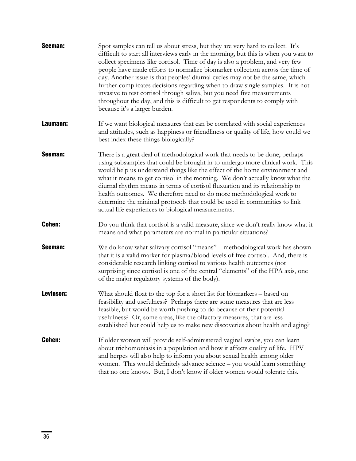| Seeman:          | Spot samples can tell us about stress, but they are very hard to collect. It's<br>difficult to start all interviews early in the morning, but this is when you want to<br>collect specimens like cortisol. Time of day is also a problem, and very few<br>people have made efforts to normalize biomarker collection across the time of<br>day. Another issue is that peoples' diurnal cycles may not be the same, which<br>further complicates decisions regarding when to draw single samples. It is not<br>invasive to test cortisol through saliva, but you need five measurements<br>throughout the day, and this is difficult to get respondents to comply with<br>because it's a larger burden. |
|------------------|--------------------------------------------------------------------------------------------------------------------------------------------------------------------------------------------------------------------------------------------------------------------------------------------------------------------------------------------------------------------------------------------------------------------------------------------------------------------------------------------------------------------------------------------------------------------------------------------------------------------------------------------------------------------------------------------------------|
| Laumann:         | If we want biological measures that can be correlated with social experiences<br>and attitudes, such as happiness or friendliness or quality of life, how could we<br>best index these things biologically?                                                                                                                                                                                                                                                                                                                                                                                                                                                                                            |
| Seeman:          | There is a great deal of methodological work that needs to be done, perhaps<br>using subsamples that could be brought in to undergo more clinical work. This<br>would help us understand things like the effect of the home environment and<br>what it means to get cortisol in the morning. We don't actually know what the<br>diurnal rhythm means in terms of cortisol fluxuation and its relationship to<br>health outcomes. We therefore need to do more methodological work to<br>determine the minimal protocols that could be used in communities to link<br>actual life experiences to biological measurements.                                                                               |
| <b>Cohen:</b>    | Do you think that cortisol is a valid measure, since we don't really know what it<br>means and what parameters are normal in particular situations?                                                                                                                                                                                                                                                                                                                                                                                                                                                                                                                                                    |
| Seeman:          | We do know what salivary cortisol "means" - methodological work has shown<br>that it is a valid marker for plasma/blood levels of free cortisol. And, there is<br>considerable research linking cortisol to various health outcomes (not<br>surprising since cortisol is one of the central "elements" of the HPA axis, one<br>of the major regulatory systems of the body).                                                                                                                                                                                                                                                                                                                           |
| <b>Levinson:</b> | What should float to the top for a short list for biomarkers – based on<br>feasibility and usefulness? Perhaps there are some measures that are less<br>feasible, but would be worth pushing to do because of their potential<br>usefulness? Or, some areas, like the olfactory measures, that are less<br>established but could help us to make new discoveries about health and aging?                                                                                                                                                                                                                                                                                                               |
| <b>Cohen:</b>    | If older women will provide self-administered vaginal swabs, you can learn<br>about trichomoniasis in a population and how it affects quality of life. HPV<br>and herpes will also help to inform you about sexual health among older<br>women. This would definitely advance science - you would learn something<br>that no one knows. But, I don't know if older women would tolerate this.                                                                                                                                                                                                                                                                                                          |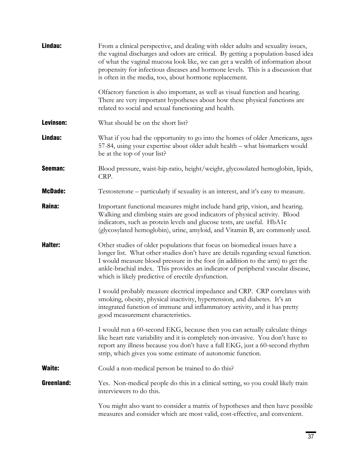| Lindau:           | From a clinical perspective, and dealing with older adults and sexuality issues,<br>the vaginal discharges and odors are critical. By getting a population-based idea<br>of what the vaginal mucosa look like, we can get a wealth of information about<br>propensity for infectious diseases and hormone levels. This is a discussion that<br>is often in the media, too, about hormone replacement. |
|-------------------|-------------------------------------------------------------------------------------------------------------------------------------------------------------------------------------------------------------------------------------------------------------------------------------------------------------------------------------------------------------------------------------------------------|
|                   | Olfactory function is also important, as well as visual function and hearing.<br>There are very important hypotheses about how these physical functions are<br>related to social and sexual functioning and health.                                                                                                                                                                                   |
| Levinson:         | What should be on the short list?                                                                                                                                                                                                                                                                                                                                                                     |
| Lindau:           | What if you had the opportunity to go into the homes of older Americans, ages<br>57-84, using your expertise about older adult health – what biomarkers would<br>be at the top of your list?                                                                                                                                                                                                          |
| Seeman:           | Blood pressure, waist-hip-ratio, height/weight, glycosolated hemoglobin, lipids,<br>CRP.                                                                                                                                                                                                                                                                                                              |
| <b>McDade:</b>    | Testosterone – particularly if sexuality is an interest, and it's easy to measure.                                                                                                                                                                                                                                                                                                                    |
| Raina:            | Important functional measures might include hand grip, vision, and hearing.<br>Walking and climbing stairs are good indicators of physical activity. Blood<br>indicators, such as protein levels and glucose tests, are useful. HbA1c<br>(glycosylated hemoglobin), urine, amyloid, and Vitamin B, are commonly used.                                                                                 |
| Halter:           | Other studies of older populations that focus on biomedical issues have a<br>longer list. What other studies don't have are details regarding sexual function.<br>I would measure blood pressure in the foot (in addition to the arm) to get the<br>ankle-brachial index. This provides an indicator of peripheral vascular disease,<br>which is likely predictive of erectile dysfunction.           |
|                   | I would probably measure electrical impedance and CRP. CRP correlates with<br>smoking, obesity, physical inactivity, hypertension, and diabetes. It's an<br>integrated function of immune and inflammatory activity, and it has pretty<br>good measurement characteristics.                                                                                                                           |
|                   | I would run a 60-second EKG, because then you can actually calculate things<br>like heart rate variability and it is completely non-invasive. You don't have to<br>report any illness because you don't have a full EKG, just a 60-second rhythm<br>strip, which gives you some estimate of autonomic function.                                                                                       |
| <b>Waite:</b>     | Could a non-medical person be trained to do this?                                                                                                                                                                                                                                                                                                                                                     |
| <b>Greenland:</b> | Yes. Non-medical people do this in a clinical setting, so you could likely train<br>interviewers to do this.                                                                                                                                                                                                                                                                                          |
|                   | You might also want to consider a matrix of hypotheses and then have possible<br>measures and consider which are most valid, cost-effective, and convenient.                                                                                                                                                                                                                                          |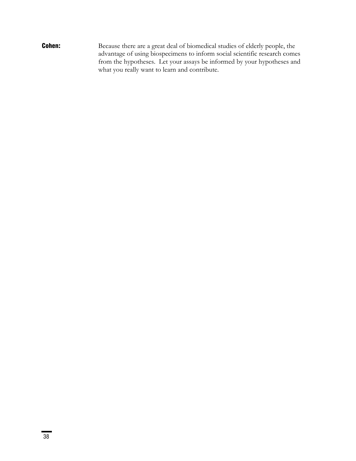**Cohen:** Because there are a great deal of biomedical studies of elderly people, the advantage of using biospecimens to inform social scientific research comes from the hypotheses. Let your assays be informed by your hypotheses and what you really want to learn and contribute.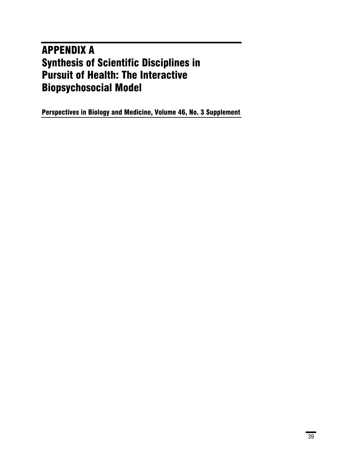## APPENDIX A Synthesis of Scientific Disciplines in Pursuit of Health: The Interactive Biopsychosocial Model

Perspectives in Biology and Medicine, Volume 46, No. 3 Supplement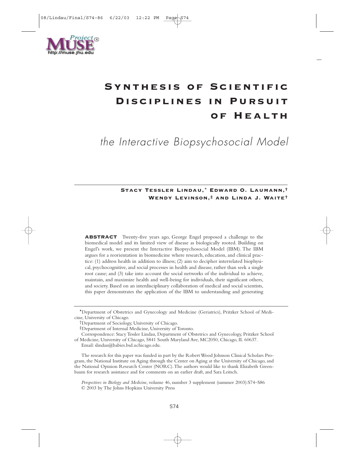

## Synthesis of Scientific Disciplines in Pursuit of Health

## *the Interactive Biopsychosocial Model*

#### Stacy Tessler Lindau,\* Edward O. Laumann,† Wendy Levinson,‡ and Linda J. Waite†

ABSTRACT Twenty-five years ago, George Engel proposed a challenge to the biomedical model and its limited view of disease as biologically rooted. Building on Engel's work, we present the Interactive Biopsychosocial Model (IBM). The IBM argues for a reorientation in biomedicine where research, education, and clinical practice: (1) address health in addition to illness; (2) aim to decipher interrelated biophysical, psychocognitive, and social processes in health and disease, rather than seek a single root cause; and (3) take into account the social networks of the individual to achieve, maintain, and maximize health and well-being for individuals, their significant others, and society. Based on an interdisciplinary collaboration of medical and social scientists, this paper demonstrates the application of the IBM to understanding and generating

‡Department of Internal Medicine, University of Toronto.

Correspondence: Stacy Tessler Lindau, Department of Obstetrics and Gynecology, Pritzker School of Medicine, University of Chicago, 5841 South Maryland Ave, MC2050, Chicago, IL 60637.

Email: slindau@babies.bsd.uchicago.edu.

The research for this paper was funded in part by the Robert Wood Johnson Clinical Scholars Program, the National Institute on Aging through the Center on Aging at the University of Chicago, and the National Opinion Research Center (NORC).The authors would like to thank Elizabeth Greenbaum for research assistance and for comments on an earlier draft, and Sara Leitsch.

*Perspectives in Biology and Medicine*, volume 46, number 3 supplement (summer 2003):S74–S86 © 2003 by The Johns Hopkins University Press

<sup>\*</sup>Department of Obstetrics and Gynecology and Medicine (Geriatrics), Pritzker School of Medicine, University of Chicago.

<sup>†</sup>Department of Sociology, University of Chicago.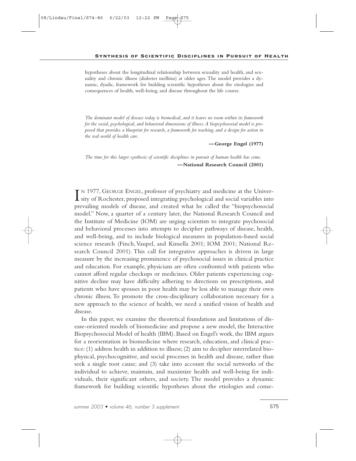hypotheses about the longitudinal relationship between sexuality and health, and sexuality and chronic illness (diabetes mellitus) at older ages. The model provides a dynamic, dyadic, framework for building scientific hypotheses about the etiologies and consequences of health, well-being, and disease throughout the life course.

*The dominant model of disease today is biomedical, and it leaves no room within its framework for the social, psychological, and behavioral dimensions of illness.A biopsychosocial model is proposed that provides a blueprint for research, a framework for teaching, and a design for action in the real world of health care.*

**—George Engel (1977)**

*The time for this larger synthesis of scientific disciplines in pursuit of human health has come.* **—National Research Council (2001)**

IN 1977, GEORGE ENGEL, professor of psychiatry and medicine at the University of Rochester, proposed integrating psychological and social variables into N 1977, GEORGE ENGEL, professor of psychiatry and medicine at the Univerprevailing models of disease, and created what he called the "biopsychosocial model." Now, a quarter of a century later, the National Research Council and the Institute of Medicine (IOM) are urging scientists to integrate psychosocial and behavioral processes into attempts to decipher pathways of disease, health, and well-being, and to include biological measures in population-based social science research (Finch, Vaupel, and Kinsella 2001; IOM 2001; National Research Council 2001). This call for integrative approaches is driven in large measure by the increasing prominence of psychosocial issues in clinical practice and education. For example, physicians are often confronted with patients who cannot afford regular checkups or medicines. Older patients experiencing cognitive decline may have difficulty adhering to directions on prescriptions, and patients who have spouses in poor health may be less able to manage their own chronic illness. To promote the cross-disciplinary collaboration necessary for a new approach to the science of health, we need a unified vision of health and disease.

In this paper, we examine the theoretical foundations and limitations of disease-oriented models of biomedicine and propose a new model, the Interactive Biopsychosocial Model of health (IBM). Based on Engel's work, the IBM argues for a reorientation in biomedicine where research, education, and clinical practice: (1) address health in addition to illness; (2) aim to decipher interrelated biophysical, psychocognitive, and social processes in health and disease, rather than seek a single root cause; and (3) take into account the social networks of the individual to achieve, maintain, and maximize health and well-being for individuals, their significant others, and society. The model provides a dynamic framework for building scientific hypotheses about the etiologies and conse-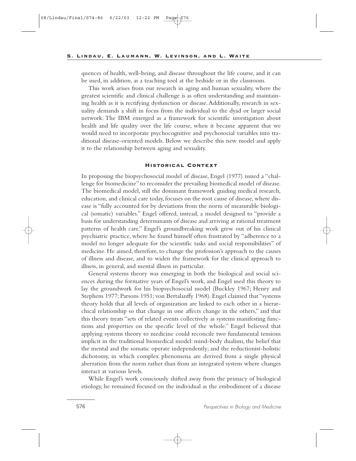quences of health, well-being, and disease throughout the life course, and it can be used, in addition, as a teaching tool at the bedside or in the classroom.

This work arises from our research in aging and human sexuality, where the greatest scientific and clinical challenge is as often understanding and maintaining health as it is rectifying dysfunction or disease.Additionally, research in sexuality demands a shift in focus from the individual to the dyad or larger social network. The IBM emerged as a framework for scientific investigation about health and life quality over the life course, when it became apparent that we would need to incorporate psychocognitive and psychosocial variables into traditional disease-oriented models. Below we describe this new model and apply it to the relationship between aging and sexuality.

#### Historical Context

In proposing the biopsychosocial model of disease, Engel (1977) issued a "challenge for biomedicine" to reconsider the prevailing biomedical model of disease. The biomedical model, still the dominant framework guiding medical research, education, and clinical care today, focuses on the root cause of disease, where disease is "fully accounted for by deviations from the norm of measurable biological (somatic) variables." Engel offered, instead, a model designed to "provide a basis for understanding determinants of disease and arriving at rational treatment patterns of health care." Engel's groundbreaking work grew out of his clinical psychiatric practice, where he found himself often frustrated by "adherence to a model no longer adequate for the scientific tasks and social responsibilities" of medicine. He aimed, therefore, to change the profession's approach to the causes of illness and disease, and to widen the framework for the clinical approach to illness, in general, and mental illness in particular.

General systems theory was emerging in both the biological and social sciences during the formative years of Engel's work, and Engel used this theory to lay the groundwork for his biopsychosocial model (Buckley 1967; Henry and Stephens 1977; Parsons 1951; von Bertalanffy 1968). Engel claimed that "systems theory holds that all levels of organization are linked to each other in a hierarchical relationship so that change in one affects change in the others," and that this theory treats "sets of related events collectively as systems manifesting functions and properties on the specific level of the whole." Engel believed that applying systems theory to medicine could reconcile two fundamental tensions implicit in the traditional biomedical model: mind-body dualism, the belief that the mental and the somatic operate independently; and the reductionist-holistic dichotomy, in which complex phenomena are derived from a single physical aberration from the norm rather than from an integrated system where changes interact at various levels.

While Engel's work consciously shifted away from the primacy of biological etiology, he remained focused on the individual as the embodiment of a disease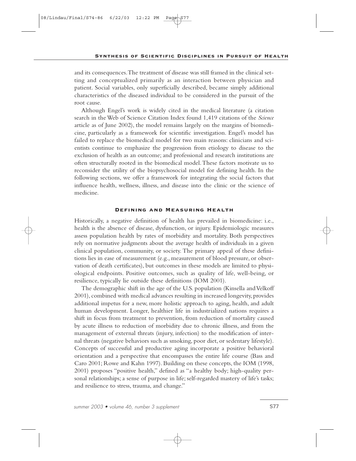and its consequences.The treatment of disease was still framed in the clinical setting and conceptualized primarily as an interaction between physician and patient. Social variables, only superficially described, became simply additional characteristics of the diseased individual to be considered in the pursuit of the root cause.

Although Engel's work is widely cited in the medical literature (a citation search in the Web of Science Citation Index found 1,419 citations of the *Science* article as of June 2002), the model remains largely on the margins of biomedicine, particularly as a framework for scientific investigation. Engel's model has failed to replace the biomedical model for two main reasons: clinicians and scientists continue to emphasize the progression from etiology to disease to the exclusion of health as an outcome; and professional and research institutions are often structurally rooted in the biomedical model.These factors motivate us to reconsider the utility of the biopsychosocial model for defining health. In the following sections, we offer a framework for integrating the social factors that influence health, wellness, illness, and disease into the clinic or the science of medicine.

#### Defining and Measuring Health

Historically, a negative definition of health has prevailed in biomedicine: i.e., health is the absence of disease, dysfunction, or injury. Epidemiologic measures assess population health by rates of morbidity and mortality. Both perspectives rely on normative judgments about the average health of individuals in a given clinical population, community, or society. The primary appeal of these definitions lies in ease of measurement (e.g., measurement of blood pressure, or observation of death certificates), but outcomes in these models are limited to physiological endpoints. Positive outcomes, such as quality of life, well-being, or resilience, typically lie outside these definitions (IOM 2001).

The demographic shift in the age of the U.S. population (Kinsella and Velkoff 2001), combined with medical advances resulting in increased longevity, provides additional impetus for a new, more holistic approach to aging, health, and adult human development. Longer, healthier life in industrialized nations requires a shift in focus from treatment to prevention, from reduction of mortality caused by acute illness to reduction of morbidity due to chronic illness, and from the management of external threats (injury, infection) to the modification of internal threats (negative behaviors such as smoking, poor diet, or sedentary lifestyle). Concepts of successful and productive aging incorporate a positive behavioral orientation and a perspective that encompasses the entire life course (Bass and Caro 2001; Rowe and Kahn 1997). Building on these concepts, the IOM (1998, 2001) proposes "positive health," defined as "a healthy body; high-quality personal relationships; a sense of purpose in life; self-regarded mastery of life's tasks; and resilience to stress, trauma, and change."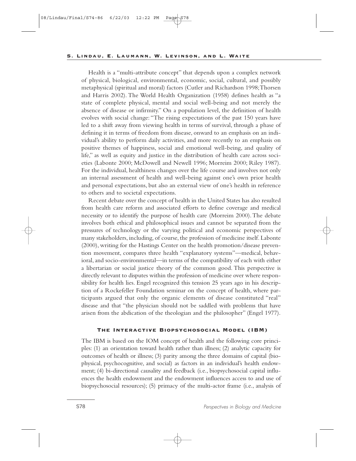Health is a "multi-attribute concept" that depends upon a complex network of physical, biological, environmental, economic, social, cultural, and possibly metaphysical (spiritual and moral) factors (Cutler and Richardson 1998;Thorsen and Harris 2002). The World Health Organization (1958) defines health as "a state of complete physical, mental and social well-being and not merely the absence of disease or infirmity." On a population level, the definition of health evolves with social change: "The rising expectations of the past 150 years have led to a shift away from viewing health in terms of survival, through a phase of defining it in terms of freedom from disease, onward to an emphasis on an individual's ability to perform daily activities, and more recently to an emphasis on positive themes of happiness, social and emotional well-being, and quality of life," as well as equity and justice in the distribution of health care across societies (Labonte 2000; McDowell and Newell 1996; Morreim 2000; Riley 1987). For the individual, healthiness changes over the life course and involves not only an internal assessment of health and well-being against one's own prior health and personal expectations, but also an external view of one's health in reference to others and to societal expectations.

Recent debate over the concept of health in the United States has also resulted from health care reform and associated efforts to define coverage and medical necessity or to identify the purpose of health care (Morreim 2000).The debate involves both ethical and philosophical issues and cannot be separated from the pressures of technology or the varying political and economic perspectives of many stakeholders, including, of course, the profession of medicine itself. Labonte (2000), writing for the Hastings Center on the health promotion/disease prevention movement, compares three health "explanatory systems"—medical, behavioral, and socio-environmental—in terms of the compatibility of each with either a libertarian or social justice theory of the common good. This perspective is directly relevant to disputes within the profession of medicine over where responsibility for health lies. Engel recognized this tension 25 years ago in his description of a Rockefeller Foundation seminar on the concept of health, where participants argued that only the organic elements of disease constituted "real" disease and that "the physician should not be saddled with problems that have arisen from the abdication of the theologian and the philosopher" (Engel 1977).

#### The Interactive Biopsychosocial Model (IBM)

The IBM is based on the IOM concept of health and the following core principles: (1) an orientation toward health rather than illness; (2) analytic capacity for outcomes of health or illness; (3) parity among the three domains of capital (biophysical, psychocognitive, and social) as factors in an individual's health endowment; (4) bi-directional causality and feedback (i.e., biopsychosocial capital influences the health endowment and the endowment influences access to and use of biopsychosocial resources); (5) primacy of the multi-actor frame (i.e., analysis of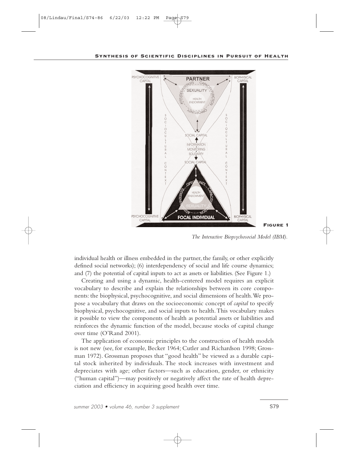

*The Interactive Biopsychosocial Model (IBM).*

Figure 1

individual health or illness embedded in the partner, the family, or other explicitly defined social networks); (6) interdependency of social and life course dynamics; and (7) the potential of capital inputs to act as assets or liabilities. (See Figure 1.)

Creating and using a dynamic, health-centered model requires an explicit vocabulary to describe and explain the relationships between its core components: the biophysical, psychocognitive, and social dimensions of health.We propose a vocabulary that draws on the socioeconomic concept of *capital* to specify biophysical, psychocognitive, and social inputs to health.This vocabulary makes it possible to view the components of health as potential assets or liabilities and reinforces the dynamic function of the model, because stocks of capital change over time (O'Rand 2001).

The application of economic principles to the construction of health models is not new (see, for example, Becker 1964; Cutler and Richardson 1998; Grossman 1972). Grossman proposes that "good health" be viewed as a durable capital stock inherited by individuals. The stock increases with investment and depreciates with age; other factors—such as education, gender, or ethnicity ("human capital")—may positively or negatively affect the rate of health depreciation and efficiency in acquiring good health over time.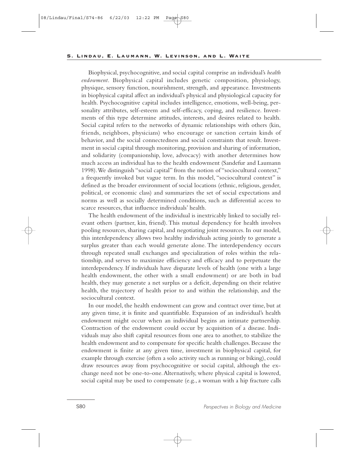Biophysical, psychocognitive, and social capital comprise an individual's *health endowment*. Biophysical capital includes genetic composition, physiology, physique, sensory function, nourishment, strength, and appearance. Investments in biophysical capital affect an individual's physical and physiological capacity for health. Psychocognitive capital includes intelligence, emotions, well-being, personality attributes, self-esteem and self-efficacy, coping, and resilience. Investments of this type determine attitudes, interests, and desires related to health. Social capital refers to the networks of dynamic relationships with others (kin, friends, neighbors, physicians) who encourage or sanction certain kinds of behavior, and the social connectedness and social constraints that result. Investment in social capital through monitoring, provision and sharing of information, and solidarity (companionship, love, advocacy) with another determines how much access an individual has to the health endowment (Sandefur and Laumann 1998).We distinguish "social capital" from the notion of "sociocultural context," a frequently invoked but vague term. In this model, "sociocultural context" is defined as the broader environment of social locations (ethnic, religious, gender, political, or economic class) and summarizes the set of social expectations and norms as well as socially determined conditions, such as differential access to scarce resources, that influence individuals' health.

The health endowment of the individual is inextricably linked to socially relevant others (partner, kin, friend). This mutual dependency for health involves pooling resources, sharing capital, and negotiating joint resources. In our model, this interdependency allows two healthy individuals acting jointly to generate a surplus greater than each would generate alone. The interdependency occurs through repeated small exchanges and specialization of roles within the relationship, and serves to maximize efficiency and efficacy and to perpetuate the interdependency. If individuals have disparate levels of health (one with a large health endowment, the other with a small endowment) or are both in bad health, they may generate a net surplus or a deficit, depending on their relative health, the trajectory of health prior to and within the relationship, and the sociocultural context.

In our model, the health endowment can grow and contract over time, but at any given time, it is finite and quantifiable. Expansion of an individual's health endowment might occur when an individual begins an intimate partnership. Contraction of the endowment could occur by acquisition of a disease. Individuals may also shift capital resources from one area to another, to stabilize the health endowment and to compensate for specific health challenges. Because the endowment is finite at any given time, investment in biophysical capital, for example through exercise (often a solo activity such as running or biking), could draw resources away from psychocognitive or social capital, although the exchange need not be one-to-one.Alternatively, where physical capital is lowered, social capital may be used to compensate (e.g., a woman with a hip fracture calls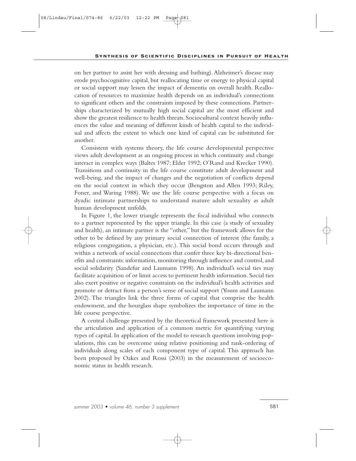on her partner to assist her with dressing and bathing). Alzheimer's disease may erode psychocognitive capital, but reallocating time or energy to physical capital or social support may lessen the impact of dementia on overall health. Reallocation of resources to maximize health depends on an individual's connections to significant others and the constraints imposed by these connections. Partnerships characterized by mutually high social capital are the most efficient and show the greatest resilience to health threats. Sociocultural context heavily influences the value and meaning of different kinds of health capital to the individual and affects the extent to which one kind of capital can be substituted for another.

Consistent with systems theory, the life course developmental perspective views adult development as an ongoing process in which continuity and change interact in complex ways (Baltes 1987; Elder 1992; O'Rand and Krecker 1990). Transitions and continuity in the life course constitute adult development and well-being, and the impact of changes and the negotiation of conflicts depend on the social context in which they occur (Bengston and Allen 1993; Riley, Foner, and Waring 1988). We use the life course perspective with a focus on dyadic intimate partnerships to understand mature adult sexuality as adult human development unfolds.

In Figure 1, the lower triangle represents the focal individual who connects to a partner represented by the upper triangle. In this case (a study of sexuality and health), an intimate partner is the "other," but the framework allows for the other to be defined by any primary social connection of interest (the family, a religious congregation, a physician, etc.). This social bond occurs through and within a network of social connections that confer three key bi-directional benefits and constraints: information, monitoring through influence and control, and social solidarity (Sandefur and Laumann 1998). An individual's social ties may facilitate acquisition of or limit access to pertinent health information. Social ties also exert positive or negative constraints on the individual's health activities and promote or detract from a person's sense of social support (Youm and Laumann 2002). The triangles link the three forms of capital that comprise the health endowment, and the hourglass shape symbolizes the importance of time in the life course perspective.

A central challenge presented by the theoretical framework presented here is the articulation and application of a common metric for quantifying varying types of capital. In application of the model to research questions involving populations, this can be overcome using relative positioning and rank-ordering of individuals along scales of each component type of capital. This approach has been proposed by Oakes and Rossi (2003) in the measurement of socioeconomic status in health research.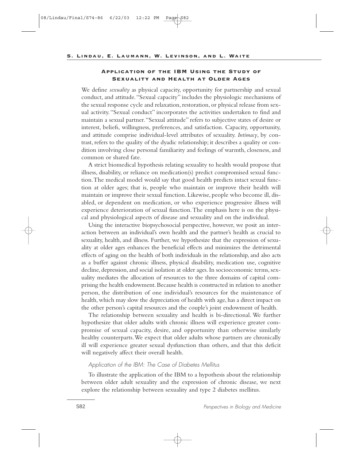#### Application of the IBM Using the Study of Sexuality and Health at Older Ages

We define *sexuality* as physical capacity, opportunity for partnership and sexual conduct, and attitude."Sexual capacity" includes the physiologic mechanisms of the sexual response cycle and relaxation, restoration, or physical release from sexual activity."Sexual conduct" incorporates the activities undertaken to find and maintain a sexual partner."Sexual attitude" refers to subjective states of desire or interest, beliefs, willingness, preferences, and satisfaction. Capacity, opportunity, and attitude comprise individual-level attributes of sexuality. *Intimacy*, by contrast, refers to the quality of the dyadic relationship; it describes a quality or condition involving close personal familiarity and feelings of warmth, closeness, and common or shared fate.

A strict biomedical hypothesis relating sexuality to health would propose that illness, disability, or reliance on medication(s) predict compromised sexual function.The medical model would say that good health predicts intact sexual function at older ages; that is, people who maintain or improve their health will maintain or improve their sexual function. Likewise, people who become ill, disabled, or dependent on medication, or who experience progressive illness will experience deterioration of sexual function.The emphasis here is on the physical and physiological aspects of disease and sexuality and on the individual.

Using the interactive biopsychosocial perspective, however, we posit an interaction between an individual's own health and the partner's health as crucial to sexuality, health, and illness. Further, we hypothesize that the expression of sexuality at older ages enhances the beneficial effects and minimizes the detrimental effects of aging on the health of both individuals in the relationship, and also acts as a buffer against chronic illness, physical disability, medication use, cognitive decline, depression, and social isolation at older ages. In socioeconomic terms, sexuality mediates the allocation of resources to the three domains of capital comprising the health endowment.Because health is constructed in relation to another person, the distribution of one individual's resources for the maintenance of health, which may slow the depreciation of health with age, has a direct impact on the other person's capital resources and the couple's joint endowment of health.

The relationship between sexuality and health is bi-directional. We further hypothesize that older adults with chronic illness will experience greater compromise of sexual capacity, desire, and opportunity than otherwise similarly healthy counterparts.We expect that older adults whose partners are chronically ill will experience greater sexual dysfunction than others, and that this deficit will negatively affect their overall health.

#### *Application of the IBM: The Case of Diabetes Mellitus*

To illustrate the application of the IBM to a hypothesis about the relationship between older adult sexuality and the expression of chronic disease, we next explore the relationship between sexuality and type 2 diabetes mellitus.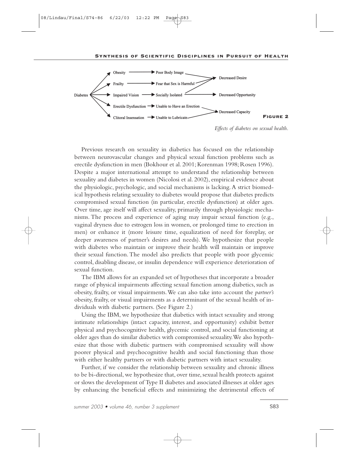

*Effects of diabetes on sexual health.*

Previous research on sexuality in diabetics has focused on the relationship between neurovascular changes and physical sexual function problems such as erectile dysfunction in men (Bokhour et al. 2001; Korenman 1998; Rosen 1996). Despite a major international attempt to understand the relationship between sexuality and diabetes in women (Nicolosi et al. 2002), empirical evidence about the physiologic, psychologic, and social mechanisms is lacking.A strict biomedical hypothesis relating sexuality to diabetes would propose that diabetes predicts compromised sexual function (in particular, erectile dysfunction) at older ages. Over time, age itself will affect sexuality, primarily through physiologic mechanisms. The process and experience of aging may impair sexual function (e.g., vaginal dryness due to estrogen loss in women, or prolonged time to erection in men) or enhance it (more leisure time, equalization of need for foreplay, or deeper awareness of partner's desires and needs). We hypothesize that people with diabetes who maintain or improve their health will maintain or improve their sexual function. The model also predicts that people with poor glycemic control, disabling disease, or insulin dependence will experience deterioration of sexual function.

The IBM allows for an expanded set of hypotheses that incorporate a broader range of physical impairments affecting sexual function among diabetics, such as obesity, frailty, or visual impairments.We can also take into account the *partner's* obesity, frailty, or visual impairments as a determinant of the sexual health of individuals with diabetic partners. (See Figure 2.)

Using the IBM, we hypothesize that diabetics with intact sexuality and strong intimate relationships (intact capacity, interest, and opportunity) exhibit better physical and psychocognitive health, glycemic control, and social functioning at older ages than do similar diabetics with compromised sexuality.We also hypothesize that those with diabetic partners with compromised sexuality will show poorer physical and psychocognitive health and social functioning than those with either healthy partners or with diabetic partners with intact sexuality.

Further, if we consider the relationship between sexuality and chronic illness to be bi-directional, we hypothesize that, over time, sexual health protects against or slows the development of Type II diabetes and associated illnesses at older ages by enhancing the beneficial effects and minimizing the detrimental effects of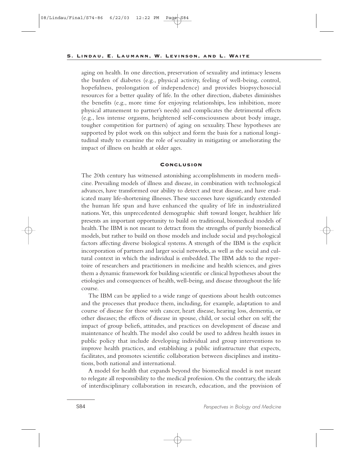aging on health. In one direction, preservation of sexuality and intimacy lessens the burden of diabetes (e.g., physical activity, feeling of well-being, control, hopefulness, prolongation of independence) and provides biopsychosocial resources for a better quality of life. In the other direction, diabetes diminishes the benefits (e.g., more time for enjoying relationships, less inhibition, more physical attunement to partner's needs) and complicates the detrimental effects (e.g., less intense orgasms, heightened self-consciousness about body image, tougher competition for partners) of aging on sexuality. These hypotheses are supported by pilot work on this subject and form the basis for a national longitudinal study to examine the role of sexuality in mitigating or ameliorating the impact of illness on health at older ages.

#### **CONCLUSION**

The 20th century has witnessed astonishing accomplishments in modern medicine. Prevailing models of illness and disease, in combination with technological advances, have transformed our ability to detect and treat disease, and have eradicated many life-shortening illnesses.These successes have significantly extended the human life span and have enhanced the quality of life in industrialized nations.Yet, this unprecedented demographic shift toward longer, healthier life presents an important opportunity to build on traditional, biomedical models of health.The IBM is not meant to detract from the strengths of purely biomedical models, but rather to build on those models and include social and psychological factors affecting diverse biological systems. A strength of the IBM is the explicit incorporation of partners and larger social networks, as well as the social and cultural context in which the individual is embedded.The IBM adds to the repertoire of researchers and practitioners in medicine and health sciences, and gives them a dynamic framework for building scientific or clinical hypotheses about the etiologies and consequences of health, well-being, and disease throughout the life course.

The IBM can be applied to a wide range of questions about health outcomes and the processes that produce them, including, for example, adaptation to and course of disease for those with cancer, heart disease, hearing loss, dementia, or other diseases; the effects of disease in spouse, child, or social other on self; the impact of group beliefs, attitudes, and practices on development of disease and maintenance of health.The model also could be used to address health issues in public policy that include developing individual and group interventions to improve health practices, and establishing a public infrastructure that expects, facilitates, and promotes scientific collaboration between disciplines and institutions, both national and international.

A model for health that expands beyond the biomedical model is not meant to relegate all responsibility to the medical profession. On the contrary, the ideals of interdisciplinary collaboration in research, education, and the provision of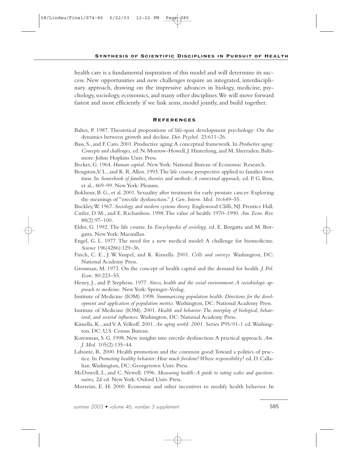health care is a fundamental inspiration of this model and will determine its success. New opportunities and new challenges require an integrated, interdisciplinary approach, drawing on the impressive advances in biology, medicine, psychology, sociology, economics, and many other disciplines.We will move forward fastest and most efficiently if we link arms, model jointly, and build together.

#### References

- Baltes, P. 1987. Theoretical propositions of life-span development psychology: On the dynamics between growth and decline. *Dev. Psychol.* 23:611–26.
- Bass, S., and F. Caro. 2001. Productive aging:A conceptual framework. In *Productive aging: Concepts and challenges,* ed. N. Morrow-Howell, J. Hinterlong, and M. Sherraden. Baltimore: Johns Hopkins Univ. Press.
- Becker, G. 1964. *Human capital.* New York: National Bureau of Economic Research.
- Bengston,V. L., and K. R.Allen. 1993.The life course perspective applied to families over time. In *Sourcebook of families, theories and methods:A contextual approach,* ed. P. G. Boss, et al., 469–99. New York: Plenum.
- Bokhour, B. G., et al. 2001. Sexuality after treatment for early prostate cancer: Exploring the meanings of "erectile dysfunction." *J. Gen. Intern. Med.* 16:649–55.
- Buckley,W. 1967. *Sociology and modern systems theory.* Englewood Cliffs, NJ: Prentice Hall.
- Cutler, D. M., and E. Richardson. 1998.The value of health: 1970–1990. *Am. Econ. Rev.* 88(2):97–100.
- Elder, G. 1992. The life course. In *Encyclopedia of sociology,* ed. E. Borgatta and M. Borgatta. New York: Macmillan.
- Engel, G. L. 1977. The need for a new medical model: A challenge for biomedicine. *Science* 196(4286):129–36.
- Finch, C. E., J. W. Vaupel, and K. Kinsella. 2001. *Cells and surveys.* Washington, DC: National Academy Press.
- Grossman, M. 1972. On the concept of health capital and the demand for health. *J. Pol. Econ.* 80:223–55.
- Henry, J., and P. Stephens. 1977. *Stress, health and the social environment: A sociobiologic approach to medicine.* New York: Springer-Verlag.
- Institute of Medicine (IOM). 1998. *Summarizing population health: Directions for the development and application of population metrics.* Washington, DC: National Academy Press.
- Institute of Medicine (IOM). 2001. *Health and behavior:The interplay of biological, behavioral, and societal influences.* Washington, DC: National Academy Press.
- Kinsella, K., and V. A.Velkoff. 2001. *An aging world: 2001.* Series P95/01-1 ed.Washington, DC: U.S. Census Bureau.
- Korenman, S. G. 1998. New insights into erectile dysfunction:A practical approach. *Am. J. Med.* 105(2):135–44.
- Labonte, R. 2000. Health promotion and the common good:Toward a politics of practice. In *Promoting healthy behavior: How much freedom? Whose responsibility?* ed. D. Callahan.Washington, DC: Georgetown Univ. Press.
- McDowell, I., and C. Newell. 1996. *Measuring health: A guide to rating scales and questionnaires,* 2d ed. New York: Oxford Univ. Press.
- Morreim, E. H. 2000. Economic and other incentives to modify health behavior. In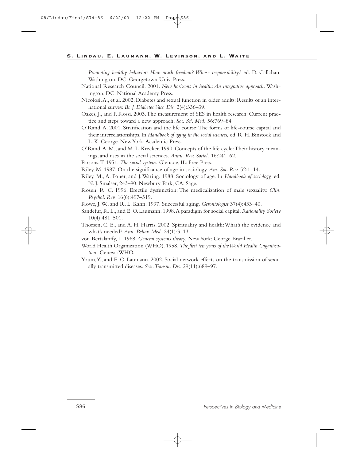*Promoting healthy behavior: How much freedom? Whose responsibility?* ed. D. Callahan. Washington, DC: Georgetown Univ. Press.

- National Research Council. 2001. *New horizons in health: An integrative approach.* Washington, DC: National Academy Press.
- Nicolosi,A., et al. 2002. Diabetes and sexual function in older adults: Results of an international survey. *Br. J. Diabetes Vasc. Dis.* 2(4):336–39.
- Oakes, J., and P. Rossi. 2003.The measurement of SES in health research: Current practice and steps toward a new approach. *Soc. Sci. Med.* 56:769–84.
- O'Rand, A. 2001. Stratification and the life course:The forms of life-course capital and their interrelationships. In *Handbook of aging in the social sciences,* ed. R. H. Binstock and L. K. George. New York:Academic Press.
- O'Rand,A. M., and M. L. Krecker. 1990. Concepts of the life cycle:Their history meanings, and uses in the social sciences. *Annu. Rev. Sociol.* 16:241–62.
- Parsons,T. 1951. *The social system.* Glencoe, IL: Free Press.
- Riley, M. 1987. On the significance of age in sociology. *Am. Soc. Rev.* 52:1–14.
- Riley, M., A. Foner, and J. Waring. 1988. Sociology of age. In *Handbook of sociology,* ed. N. J. Smalser, 243–90. Newbury Park, CA: Sage.
- Rosen, R. C. 1996. Erectile dysfunction: The medicalization of male sexuality. *Clin. Psychol. Rev.* 16(6):497–519.
- Rowe, J.W., and R. L. Kahn. 1997. Successful aging. *Gerontologist* 37(4):433–40.
- Sandefur, R. L., and E. O. Laumann. 1998.A paradigm for social capital.*Rationality Society* 10(4):481–501.
- Thorsen, C. E., and A. H. Harris. 2002. Spirituality and health:What's the evidence and what's needed? *Ann. Behav. Med.* 24(1):3–13.
- von Bertalanffy, L. 1968. *General systems theory.* New York: George Braziller.
- World Health Organization (WHO). 1958. *The first ten years of the World Health Organization.* Geneva:WHO.
- Youm,Y., and E. O. Laumann. 2002. Social network effects on the transmission of sexually transmitted diseases. *Sex.Transm. Dis.* 29(11):689–97.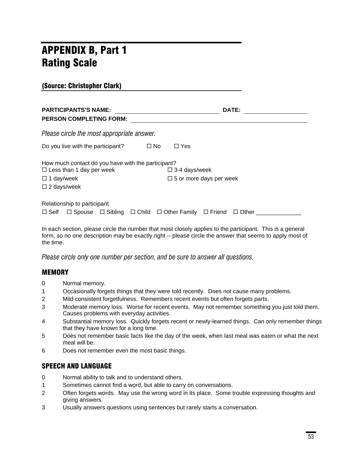## APPENDIX B, Part 1 Rating Scale

#### (Source: Christopher Clark)

| <b>PARTICIPANTS'S NAME:</b><br><b>PERSON COMPLETING FORM:</b>                                                                          |              | <b>DATE:</b>                   |  |
|----------------------------------------------------------------------------------------------------------------------------------------|--------------|--------------------------------|--|
| Please circle the most appropriate answer.                                                                                             |              |                                |  |
| Do you live with the participant?                                                                                                      | $\square$ No | $\Box$ Yes                     |  |
| How much contact do you have with the participant?<br>$\Box$ Less than 1 day per week                                                  |              | $\Box$ 3-4 days/week           |  |
| $\Box$ 1 day/week<br>$\square$ 2 days/week                                                                                             |              | $\Box$ 5 or more days per week |  |
| Relationship to participant<br>$\Box$ Self $\Box$ Spouse $\Box$ Sibling $\Box$ Child $\Box$ Other Family $\Box$ Friend $\Box$ Other __ |              |                                |  |

In each section, please circle the number that most closely applies to the participant. This is a general form, so no one description may be exactly right -- please circle the answer that seems to apply most of the time.

*Please circle only one number per section, and be sure to answer all questions.* 

#### MEMORY

- 0 Normal memory.
- 1 Occasionally forgets things that they were told recently. Does not cause many problems.
- 2 Mild consistent forgetfulness. Remembers recent events but often forgets parts.
- 3 Moderate memory loss. Worse for recent events. May not remember something you just told them. Causes problems with everyday activities.
- 4 Substantial memory loss. Quickly forgets recent or newly-learned things. Can only remember things that they have known for a long time.
- 5 Does not remember basic facts like the day of the week, when last meal was eaten or what the next meal will be.
- 6 Does not remember even the most basic things.

#### SPEECH AND LANGUAGE

- 0 Normal ability to talk and to understand others.
- 1 Sometimes cannot find a word, but able to carry on conversations.
- 2 Often forgets words. May use the wrong word in its place. Some trouble expressing thoughts and giving answers.
- 3 Usually answers questions using sentences but rarely starts a conversation.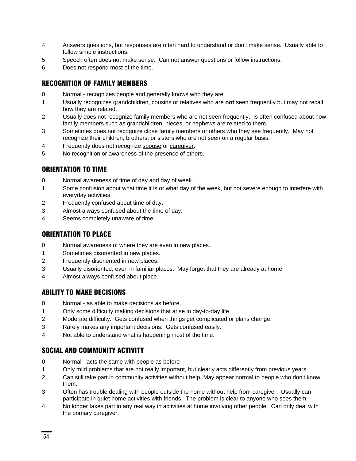- 4 Answers questions, but responses are often hard to understand or don't make sense. Usually able to follow simple instructions.
- 5 Speech often does not make sense. Can not answer questions or follow instructions.
- 6 Does not respond most of the time.

#### RECOGNITION OF FAMILY MEMBERS

- 0 Normal recognizes people and generally knows who they are.
- 1 Usually recognizes grandchildren, cousins or relatives who are **not** seen frequently but may not recall how they are related.
- 2 Usually does not recognize family members who are not seen frequently. Is often confused about how family members such as grandchildren, nieces, or nephews are related to them.
- 3 Sometimes does not recognize close family members or others who they see frequently. May not recognize their children, brothers, or sisters who are not seen on a regular basis.
- 4 Frequently does not recognize spouse or caregiver.
- 5 No recognition or awareness of the presence of others.

#### ORIENTATION TO TIME

- 0 Normal awareness of time of day and day of week.
- 1 Some confusion about what time it is or what day of the week, but not severe enough to interfere with everyday activities.
- 2 Frequently confused about time of day.
- 3 Almost always confused about the time of day.
- 4 Seems completely unaware of time.

#### ORIENTATION TO PLACE

- 0 Normal awareness of where they are even in new places.
- 1 Sometimes disoriented in new places.
- 2 Frequently disoriented in new places.
- 3 Usually disoriented, even in familiar places. May forget that they are already at home.
- 4 Almost always confused about place.

#### ABILITY TO MAKE DECISIONS

- 0 Normal as able to make decisions as before.
- 1 Only some difficulty making decisions that arise in day-to-day life.
- 2 Moderate difficulty. Gets confused when things get complicated or plans change.
- 3 Rarely makes any important decisions. Gets confused easily.
- 4 Not able to understand what is happening most of the time.

### SOCIAL AND COMMUNITY ACTIVITY

- 0 Normal acts the same with people as before
- 1 Only mild problems that are not really important, but clearly acts differently from previous years.
- 2 Can still take part in community activities without help. May appear normal to people who don't know them.
- 3 Often has trouble dealing with people outside the home without help from caregiver. Usually can participate in quiet home activities with friends. The problem is clear to anyone who sees them.
- 4 No longer takes part in any real way in activities at home involving other people. Can only deal with the primary caregiver.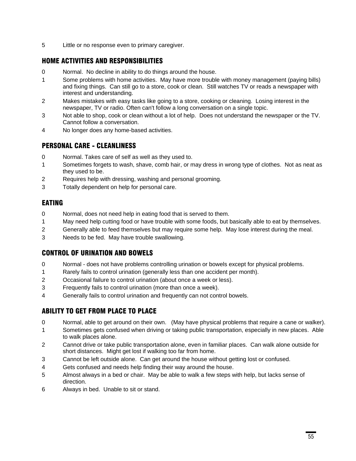5 Little or no response even to primary caregiver.

#### HOME ACTIVITIES AND RESPONSIBILITIES

- 0 Normal. No decline in ability to do things around the house.
- 1 Some problems with home activities. May have more trouble with money management (paying bills) and fixing things. Can still go to a store, cook or clean. Still watches TV or reads a newspaper with interest and understanding.
- 2 Makes mistakes with easy tasks like going to a store, cooking or cleaning. Losing interest in the newspaper, TV or radio. Often can't follow a long conversation on a single topic.
- 3 Not able to shop, cook or clean without a lot of help. Does not understand the newspaper or the TV. Cannot follow a conversation.
- 4 No longer does any home-based activities.

#### PERSONAL CARE - CLEANLINESS

- 0 Normal. Takes care of self as well as they used to.
- 1 Sometimes forgets to wash, shave, comb hair, or may dress in wrong type of clothes. Not as neat as they used to be.
- 2 Requires help with dressing, washing and personal grooming.
- 3 Totally dependent on help for personal care.

#### EATING

- 0 Normal, does not need help in eating food that is served to them.
- 1 May need help cutting food or have trouble with some foods, but basically able to eat by themselves.
- 2 Generally able to feed themselves but may require some help. May lose interest during the meal.
- 3 Needs to be fed. May have trouble swallowing.

#### CONTROL OF URINATION AND BOWELS

- 0 Normal does not have problems controlling urination or bowels except for physical problems.
- 1 Rarely fails to control urination (generally less than one accident per month).
- 2 Occasional failure to control urination (about once a week or less).
- 3 Frequently fails to control urination (more than once a week).
- 4 Generally fails to control urination and frequently can not control bowels.

#### ABILITY TO GET FROM PLACE TO PLACE

- 0 Normal, able to get around on their own. (May have physical problems that require a cane or walker).
- 1 Sometimes gets confused when driving or taking public transportation, especially in new places. Able to walk places alone.
- 2 Cannot drive or take public transportation alone, even in familiar places. Can walk alone outside for short distances. Might get lost if walking too far from home.
- 3 Cannot be left outside alone. Can get around the house without getting lost or confused.
- 4 Gets confused and needs help finding their way around the house.
- 5 Almost always in a bed or chair. May be able to walk a few steps with help, but lacks sense of direction.
- 6 Always in bed. Unable to sit or stand.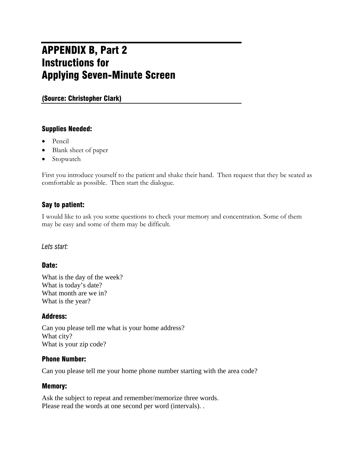## APPENDIX B, Part 2 Instructions for Applying Seven-Minute Screen

### (Source: Christopher Clark)

#### Supplies Needed:

- Pencil
- Blank sheet of paper
- **Stopwatch**

First you introduce yourself to the patient and shake their hand. Then request that they be seated as comfortable as possible. Then start the dialogue.

#### Say to patient:

I would like to ask you some questions to check your memory and concentration. Some of them may be easy and some of them may be difficult.

*Lets start:* 

#### Date:

What is the day of the week? What is today's date? What month are we in? What is the year?

#### Address:

Can you please tell me what is your home address? What city? What is your zip code?

#### Phone Number:

Can you please tell me your home phone number starting with the area code?

#### Memory:

Ask the subject to repeat and remember/memorize three words. Please read the words at one second per word (intervals). .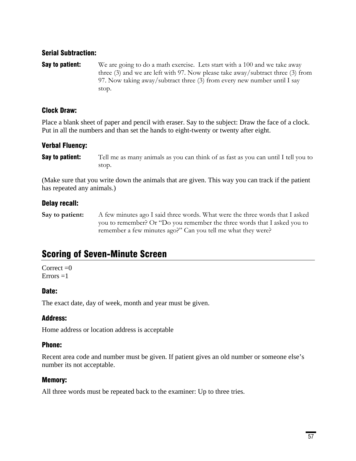#### Serial Subtraction:

**Say to patient:** We are going to do a math exercise. Lets start with a 100 and we take away three (3) and we are left with 97. Now please take away/subtract three (3) from 97. Now taking away/subtract three (3) from every new number until I say stop.

### Clock Draw:

Place a blank sheet of paper and pencil with eraser. Say to the subject: Draw the face of a clock. Put in all the numbers and than set the hands to eight-twenty or twenty after eight.

#### Verbal Fluency:

**Say to patient:** Tell me as many animals as you can think of as fast as you can until I tell you to stop.

(Make sure that you write down the animals that are given. This way you can track if the patient has repeated any animals.)

### Delay recall:

**Say to patient:** A few minutes ago I said three words. What were the three words that I asked you to remember? Or "Do you remember the three words that I asked you to remember a few minutes ago?" Can you tell me what they were?

## Scoring of Seven-Minute Screen

 $Correct = 0$  $\text{Errors} = 1$ 

#### Date:

The exact date, day of week, month and year must be given.

#### Address:

Home address or location address is acceptable

#### Phone:

Recent area code and number must be given. If patient gives an old number or someone else's number its not acceptable.

### Memory:

All three words must be repeated back to the examiner: Up to three tries.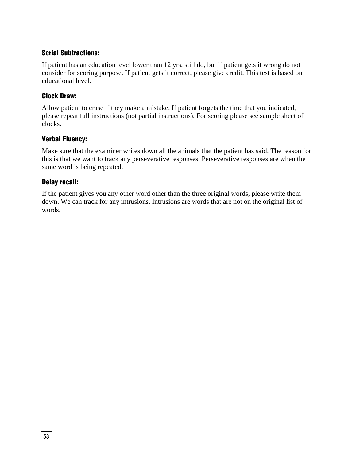#### Serial Subtractions:

If patient has an education level lower than 12 yrs, still do, but if patient gets it wrong do not consider for scoring purpose. If patient gets it correct, please give credit. This test is based on educational level.

#### Clock Draw:

Allow patient to erase if they make a mistake. If patient forgets the time that you indicated, please repeat full instructions (not partial instructions). For scoring please see sample sheet of clocks.

#### Verbal Fluency:

Make sure that the examiner writes down all the animals that the patient has said. The reason for this is that we want to track any perseverative responses. Perseverative responses are when the same word is being repeated.

#### Delay recall:

If the patient gives you any other word other than the three original words, please write them down. We can track for any intrusions. Intrusions are words that are not on the original list of words.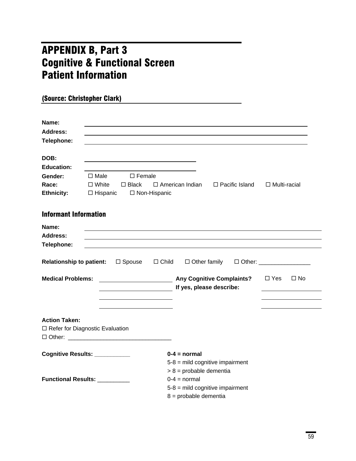## APPENDIX B, Part 3 Cognitive & Functional Screen Patient Information

(Source: Christopher Clark)

| Name:<br>Address:<br>Telephone: |                                                     |                                                              |                                   |
|---------------------------------|-----------------------------------------------------|--------------------------------------------------------------|-----------------------------------|
|                                 |                                                     |                                                              |                                   |
| DOB:                            |                                                     |                                                              |                                   |
| <b>Education:</b>               |                                                     |                                                              |                                   |
| Gender:                         | $\square$ Female<br>$\square$ Male                  |                                                              |                                   |
| Race:                           | $\Box$ White<br>$\Box$ Black                        | $\Box$ American Indian<br>$\Box$ Pacific Island              | $\Box$ Multi-racial               |
| <b>Ethnicity:</b>               | $\Box$ Hispanic $\Box$ Non-Hispanic                 |                                                              |                                   |
|                                 |                                                     |                                                              |                                   |
| <b>Informant Information</b>    |                                                     |                                                              |                                   |
| Name:                           |                                                     |                                                              |                                   |
| <b>Address:</b>                 |                                                     |                                                              |                                   |
| Telephone:                      |                                                     |                                                              |                                   |
|                                 |                                                     |                                                              |                                   |
| <b>Relationship to patient:</b> | □ Spouse □ Child                                    | $\Box$ Other family                                          | $\Box$ Other: ___________________ |
| <b>Medical Problems:</b>        | <u> 1980 - Johann Barbara, martxa eta politikar</u> | <b>Any Cognitive Complaints?</b><br>If yes, please describe: | $\Box$ Yes<br>$\Box$ No           |
|                                 |                                                     |                                                              |                                   |
|                                 |                                                     |                                                              |                                   |
| <b>Action Taken:</b>            |                                                     |                                                              |                                   |
|                                 | □ Refer for Diagnostic Evaluation                   |                                                              |                                   |
|                                 |                                                     |                                                              |                                   |
|                                 |                                                     |                                                              |                                   |
|                                 | Cognitive Results: __________                       | $0-4 = normal$                                               |                                   |
|                                 |                                                     | $5-8$ = mild cognitive impairment                            |                                   |
|                                 |                                                     | $> 8$ = probable dementia                                    |                                   |
|                                 | Functional Results: _________                       | $0-4 = normal$                                               |                                   |
|                                 |                                                     | $5-8$ = mild cognitive impairment<br>$8 =$ probable dementia |                                   |
|                                 |                                                     |                                                              |                                   |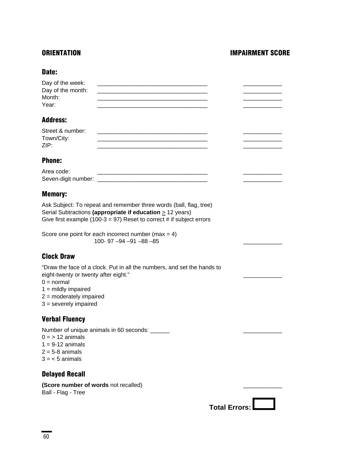#### ORIENTATION **IMPAIRMENT SCORE**

#### Date:

| Day of the week:  |  |
|-------------------|--|
| Day of the month: |  |
| Month:            |  |
| Year:             |  |

#### Address:

| Street & number: |  |
|------------------|--|
| Town/City:       |  |
| ZIP:             |  |

#### Phone:

| Area code:          |  |
|---------------------|--|
| Seven-digit number: |  |

#### Memory:

Ask Subject: To repeat and remember three words (ball, flag, tree) Serial Subtractions (appropriate if education  $\geq$  12 years) Give first example (100-3 = 97) Reset to correct  $#$  if subject errors

Score one point for each incorrect number ( $max = 4$ ) 100- 97 –94 –91 –88 –85 \_\_\_\_\_\_\_\_\_\_\_\_

#### Clock Draw

"Draw the face of a clock. Put in all the numbers, and set the hands to eight-twenty or twenty after eight."  $0 = normal$  $1 =$  mildly impaired 2 = moderately impaired 3 = severely impaired

#### Verbal Fluency

Number of unique animals in 60 seconds: \_\_\_\_\_\_\_  $0 =$  > 12 animals  $1 = 9-12$  animals  $2 = 5-8$  animals  $3 = < 5$  animals

#### Delayed Recall

**(Score number of words** not recalled) \_\_\_\_\_\_\_\_\_\_\_\_ Ball - Flag - Tree

 **Total Errors:**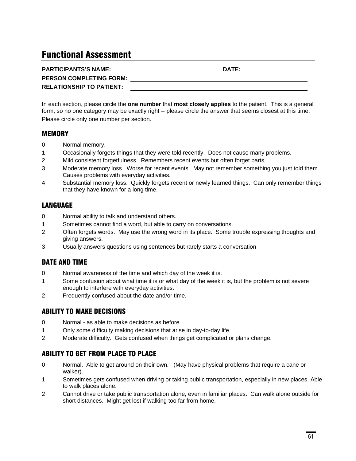## Functional Assessment

| <b>PARTICIPANTS'S NAME:</b>     | DATE: |
|---------------------------------|-------|
| <b>PERSON COMPLETING FORM:</b>  |       |
| <b>RELATIONSHIP TO PATIENT:</b> |       |

In each section, please circle the **one number** that **most closely applies** to the patient. This is a general form, so no one category may be exactly right -- please circle the answer that seems closest at this time. Please circle only one number per section.

#### **MEMORY**

- 0 Normal memory.
- 1 Occasionally forgets things that they were told recently. Does not cause many problems.
- 2 Mild consistent forgetfulness. Remembers recent events but often forget parts.
- 3 Moderate memory loss. Worse for recent events. May not remember something you just told them. Causes problems with everyday activities.
- 4 Substantial memory loss. Quickly forgets recent or newly learned things. Can only remember things that they have known for a long time.

#### **LANGUAGE**

- 0 Normal ability to talk and understand others.
- 1 Sometimes cannot find a word, but able to carry on conversations.
- 2 Often forgets words. May use the wrong word in its place. Some trouble expressing thoughts and giving answers.
- 3 Usually answers questions using sentences but rarely starts a conversation

### DATE AND TIME

- 0 Normal awareness of the time and which day of the week it is.
- 1 Some confusion about what time it is or what day of the week it is, but the problem is not severe enough to interfere with everyday activities.
- 2 Frequently confused about the date and/or time.

#### ABILITY TO MAKE DECISIONS

- 0 Normal as able to make decisions as before.
- 1 Only some difficulty making decisions that arise in day-to-day life.
- 2 Moderate difficulty. Gets confused when things get complicated or plans change.

### ABILITY TO GET FROM PLACE TO PLACE

- 0 Normal. Able to get around on their own. (May have physical problems that require a cane or walker).
- 1 Sometimes gets confused when driving or taking public transportation, especially in new places. Able to walk places alone.
- 2 Cannot drive or take public transportation alone, even in familiar places. Can walk alone outside for short distances. Might get lost if walking too far from home.